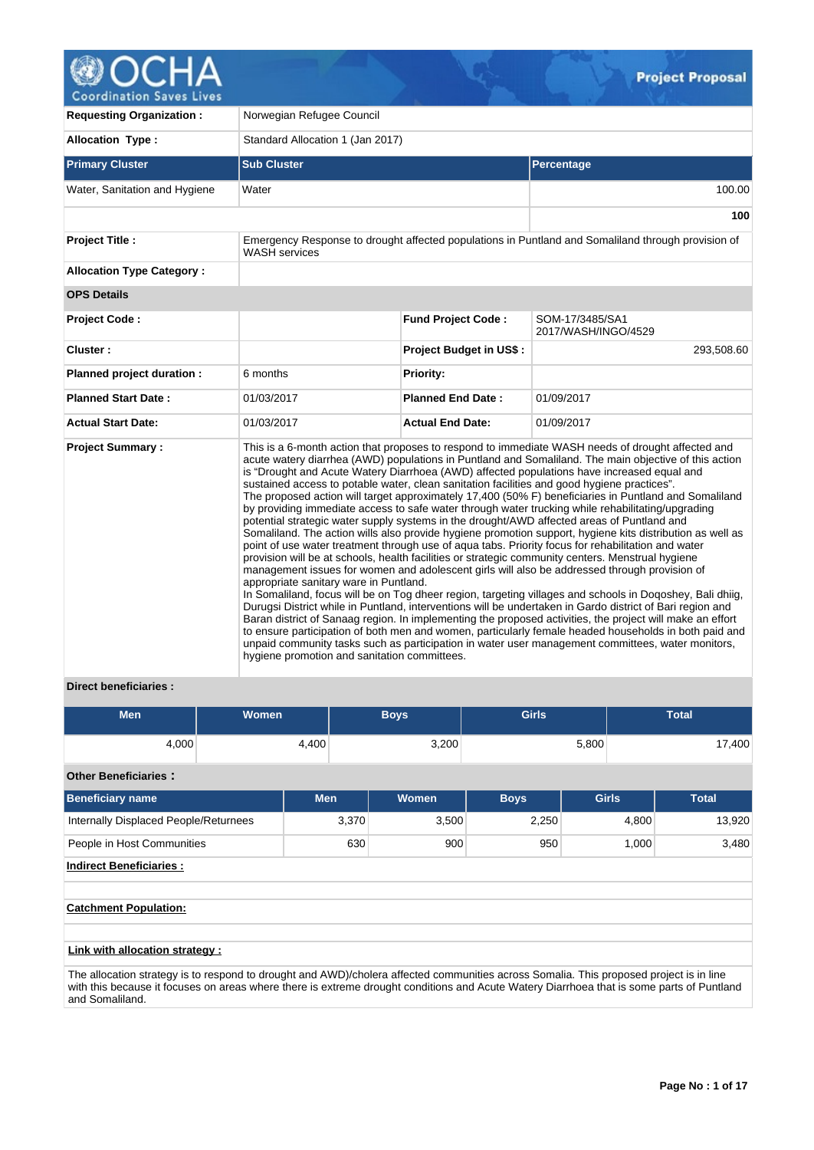

| <b>Requesting Organization:</b>  | Norwegian Refugee Council                                                                                                                                                                                                                                                           |                                |                                                                                                                                                                                                                                                                                                                                                                                                                                                                                                                                                                                                                                                                                                                                                                                                                                                                                                                                                                                                                                                                                                                                                                                                                                                                                                                                                                                                                                                                                                     |
|----------------------------------|-------------------------------------------------------------------------------------------------------------------------------------------------------------------------------------------------------------------------------------------------------------------------------------|--------------------------------|-----------------------------------------------------------------------------------------------------------------------------------------------------------------------------------------------------------------------------------------------------------------------------------------------------------------------------------------------------------------------------------------------------------------------------------------------------------------------------------------------------------------------------------------------------------------------------------------------------------------------------------------------------------------------------------------------------------------------------------------------------------------------------------------------------------------------------------------------------------------------------------------------------------------------------------------------------------------------------------------------------------------------------------------------------------------------------------------------------------------------------------------------------------------------------------------------------------------------------------------------------------------------------------------------------------------------------------------------------------------------------------------------------------------------------------------------------------------------------------------------------|
| <b>Allocation Type:</b>          | Standard Allocation 1 (Jan 2017)                                                                                                                                                                                                                                                    |                                |                                                                                                                                                                                                                                                                                                                                                                                                                                                                                                                                                                                                                                                                                                                                                                                                                                                                                                                                                                                                                                                                                                                                                                                                                                                                                                                                                                                                                                                                                                     |
| <b>Primary Cluster</b>           | <b>Sub Cluster</b>                                                                                                                                                                                                                                                                  |                                | <b>Percentage</b>                                                                                                                                                                                                                                                                                                                                                                                                                                                                                                                                                                                                                                                                                                                                                                                                                                                                                                                                                                                                                                                                                                                                                                                                                                                                                                                                                                                                                                                                                   |
| Water, Sanitation and Hygiene    | Water                                                                                                                                                                                                                                                                               |                                | 100.00                                                                                                                                                                                                                                                                                                                                                                                                                                                                                                                                                                                                                                                                                                                                                                                                                                                                                                                                                                                                                                                                                                                                                                                                                                                                                                                                                                                                                                                                                              |
|                                  |                                                                                                                                                                                                                                                                                     |                                | 100                                                                                                                                                                                                                                                                                                                                                                                                                                                                                                                                                                                                                                                                                                                                                                                                                                                                                                                                                                                                                                                                                                                                                                                                                                                                                                                                                                                                                                                                                                 |
| <b>Project Title:</b>            | <b>WASH</b> services                                                                                                                                                                                                                                                                |                                | Emergency Response to drought affected populations in Puntland and Somaliland through provision of                                                                                                                                                                                                                                                                                                                                                                                                                                                                                                                                                                                                                                                                                                                                                                                                                                                                                                                                                                                                                                                                                                                                                                                                                                                                                                                                                                                                  |
| <b>Allocation Type Category:</b> |                                                                                                                                                                                                                                                                                     |                                |                                                                                                                                                                                                                                                                                                                                                                                                                                                                                                                                                                                                                                                                                                                                                                                                                                                                                                                                                                                                                                                                                                                                                                                                                                                                                                                                                                                                                                                                                                     |
| <b>OPS Details</b>               |                                                                                                                                                                                                                                                                                     |                                |                                                                                                                                                                                                                                                                                                                                                                                                                                                                                                                                                                                                                                                                                                                                                                                                                                                                                                                                                                                                                                                                                                                                                                                                                                                                                                                                                                                                                                                                                                     |
| <b>Project Code:</b>             |                                                                                                                                                                                                                                                                                     | <b>Fund Project Code:</b>      | SOM-17/3485/SA1<br>2017/WASH/INGO/4529                                                                                                                                                                                                                                                                                                                                                                                                                                                                                                                                                                                                                                                                                                                                                                                                                                                                                                                                                                                                                                                                                                                                                                                                                                                                                                                                                                                                                                                              |
| Cluster:                         |                                                                                                                                                                                                                                                                                     | <b>Project Budget in US\$:</b> | 293,508.60                                                                                                                                                                                                                                                                                                                                                                                                                                                                                                                                                                                                                                                                                                                                                                                                                                                                                                                                                                                                                                                                                                                                                                                                                                                                                                                                                                                                                                                                                          |
| Planned project duration :       | 6 months                                                                                                                                                                                                                                                                            | <b>Priority:</b>               |                                                                                                                                                                                                                                                                                                                                                                                                                                                                                                                                                                                                                                                                                                                                                                                                                                                                                                                                                                                                                                                                                                                                                                                                                                                                                                                                                                                                                                                                                                     |
| <b>Planned Start Date:</b>       | 01/03/2017                                                                                                                                                                                                                                                                          | <b>Planned End Date:</b>       | 01/09/2017                                                                                                                                                                                                                                                                                                                                                                                                                                                                                                                                                                                                                                                                                                                                                                                                                                                                                                                                                                                                                                                                                                                                                                                                                                                                                                                                                                                                                                                                                          |
| <b>Actual Start Date:</b>        | 01/03/2017                                                                                                                                                                                                                                                                          | <b>Actual End Date:</b>        | 01/09/2017                                                                                                                                                                                                                                                                                                                                                                                                                                                                                                                                                                                                                                                                                                                                                                                                                                                                                                                                                                                                                                                                                                                                                                                                                                                                                                                                                                                                                                                                                          |
| <b>Project Summary:</b>          | sustained access to potable water, clean sanitation facilities and good hygiene practices".<br>potential strategic water supply systems in the drought/AWD affected areas of Puntland and<br>appropriate sanitary ware in Puntland.<br>hygiene promotion and sanitation committees. |                                | This is a 6-month action that proposes to respond to immediate WASH needs of drought affected and<br>acute watery diarrhea (AWD) populations in Puntland and Somaliland. The main objective of this action<br>is "Drought and Acute Watery Diarrhoea (AWD) affected populations have increased equal and<br>The proposed action will target approximately 17,400 (50% F) beneficiaries in Puntland and Somaliland<br>by providing immediate access to safe water through water trucking while rehabilitating/upgrading<br>Somaliland. The action wills also provide hygiene promotion support, hygiene kits distribution as well as<br>point of use water treatment through use of aqua tabs. Priority focus for rehabilitation and water<br>provision will be at schools, health facilities or strategic community centers. Menstrual hygiene<br>management issues for women and adolescent girls will also be addressed through provision of<br>In Somaliland, focus will be on Tog dheer region, targeting villages and schools in Doqoshey, Bali dhiig,<br>Durugsi District while in Puntland, interventions will be undertaken in Gardo district of Bari region and<br>Baran district of Sanaag region. In implementing the proposed activities, the project will make an effort<br>to ensure participation of both men and women, particularly female headed households in both paid and<br>unpaid community tasks such as participation in water user management committees, water monitors, |

# **Direct beneficiaries :**

| <b>Men</b> | <b>Women</b> | <b>Boys</b> | <b>Girls</b> | <b>Total</b> |
|------------|--------------|-------------|--------------|--------------|
| 4,000      | 4,400        | 3,200       | 5,800        | 17,400       |

# **Other Beneficiaries :**

| <b>Beneficiary name</b>               | <b>Men</b> | <b>Women</b> | <b>Boys</b> | <b>Girls</b> | <b>Total</b> |  |  |  |  |  |  |
|---------------------------------------|------------|--------------|-------------|--------------|--------------|--|--|--|--|--|--|
| Internally Displaced People/Returnees | 3,370      | 3,500        | 2,250       | 4,800        | 13,920       |  |  |  |  |  |  |
| People in Host Communities            | 630        | 900          | 950         | 1,000        | 3,480        |  |  |  |  |  |  |
| <b>Indirect Beneficiaries:</b>        |            |              |             |              |              |  |  |  |  |  |  |
|                                       |            |              |             |              |              |  |  |  |  |  |  |
| <b>Catchment Population:</b>          |            |              |             |              |              |  |  |  |  |  |  |
|                                       |            |              |             |              |              |  |  |  |  |  |  |
| Link with allocation strategy :       |            |              |             |              |              |  |  |  |  |  |  |

The allocation strategy is to respond to drought and AWD)/cholera affected communities across Somalia. This proposed project is in line with this because it focuses on areas where there is extreme drought conditions and Acute Watery Diarrhoea that is some parts of Puntland and Somaliland.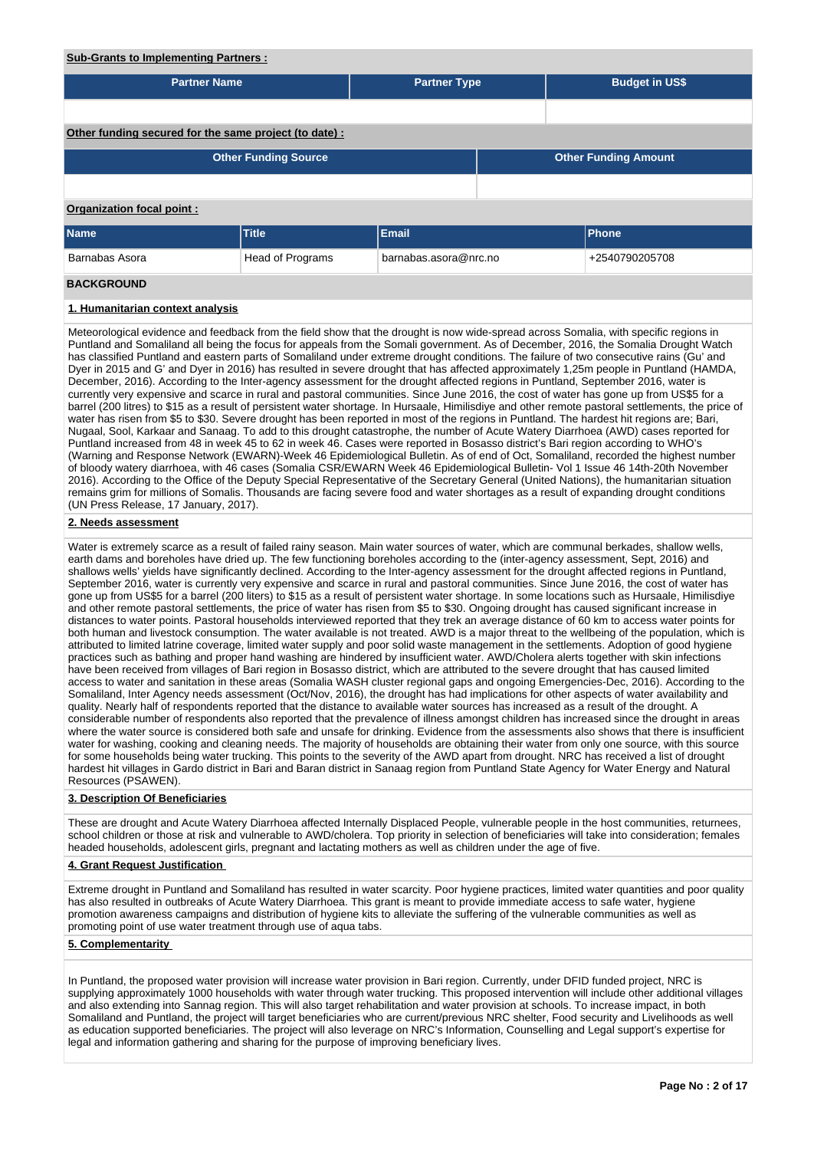# **Sub-Grants to Implementing Partners :**

| <u>ouv-orants to implementing r artificis.</u>                                                                                                                                                                                                                                                                                                                                                                                                                                                                                                                  |                  |                       |                             |                       |  |  |  |  |  |  |
|-----------------------------------------------------------------------------------------------------------------------------------------------------------------------------------------------------------------------------------------------------------------------------------------------------------------------------------------------------------------------------------------------------------------------------------------------------------------------------------------------------------------------------------------------------------------|------------------|-----------------------|-----------------------------|-----------------------|--|--|--|--|--|--|
| <b>Partner Name</b>                                                                                                                                                                                                                                                                                                                                                                                                                                                                                                                                             |                  | <b>Partner Type</b>   |                             | <b>Budget in US\$</b> |  |  |  |  |  |  |
|                                                                                                                                                                                                                                                                                                                                                                                                                                                                                                                                                                 |                  |                       |                             |                       |  |  |  |  |  |  |
| Other funding secured for the same project (to date) :                                                                                                                                                                                                                                                                                                                                                                                                                                                                                                          |                  |                       |                             |                       |  |  |  |  |  |  |
| <b>Other Funding Source</b>                                                                                                                                                                                                                                                                                                                                                                                                                                                                                                                                     |                  |                       | <b>Other Funding Amount</b> |                       |  |  |  |  |  |  |
|                                                                                                                                                                                                                                                                                                                                                                                                                                                                                                                                                                 |                  |                       |                             |                       |  |  |  |  |  |  |
| Organization focal point:                                                                                                                                                                                                                                                                                                                                                                                                                                                                                                                                       |                  |                       |                             |                       |  |  |  |  |  |  |
| <b>Name</b>                                                                                                                                                                                                                                                                                                                                                                                                                                                                                                                                                     | <b>Title</b>     | <b>Email</b>          |                             | Phone                 |  |  |  |  |  |  |
| Barnabas Asora                                                                                                                                                                                                                                                                                                                                                                                                                                                                                                                                                  | Head of Programs | barnabas.asora@nrc.no |                             | +2540790205708        |  |  |  |  |  |  |
| <b>BACKGROUND</b>                                                                                                                                                                                                                                                                                                                                                                                                                                                                                                                                               |                  |                       |                             |                       |  |  |  |  |  |  |
| 1. Humanitarian context analysis                                                                                                                                                                                                                                                                                                                                                                                                                                                                                                                                |                  |                       |                             |                       |  |  |  |  |  |  |
| Meteorological evidence and feedback from the field show that the drought is now wide-spread across Somalia, with specific regions in<br>Puntland and Somaliland all being the focus for appeals from the Somali government. As of December, 2016, the Somalia Drought Watch<br>has classified Puntland and eastern parts of Somaliland under extreme drought conditions. The failure of two consecutive rains (Gu' and<br>Dver in 2015 and G' and Dver in 2016) has resulted in severe drought that has affected approximately 1.25m people in Puntland (HAMDA |                  |                       |                             |                       |  |  |  |  |  |  |

Dyer in 2015 and G' and Dyer in 2016) has resulted in severe drought that has affected approximately 1,25m people in Puntland (HAMDA, December, 2016). According to the Inter-agency assessment for the drought affected regions in Puntland, September 2016, water is currently very expensive and scarce in rural and pastoral communities. Since June 2016, the cost of water has gone up from US\$5 for a barrel (200 litres) to \$15 as a result of persistent water shortage. In Hursaale, Himilisdiye and other remote pastoral settlements, the price of water has risen from \$5 to \$30. Severe drought has been reported in most of the regions in Puntland. The hardest hit regions are; Bari, Nugaal, Sool, Karkaar and Sanaag. To add to this drought catastrophe, the number of Acute Watery Diarrhoea (AWD) cases reported for Puntland increased from 48 in week 45 to 62 in week 46. Cases were reported in Bosasso district's Bari region according to WHO's (Warning and Response Network (EWARN)-Week 46 Epidemiological Bulletin. As of end of Oct, Somaliland, recorded the highest number of bloody watery diarrhoea, with 46 cases (Somalia CSR/EWARN Week 46 Epidemiological Bulletin- Vol 1 Issue 46 14th-20th November 2016). According to the Office of the Deputy Special Representative of the Secretary General (United Nations), the humanitarian situation remains grim for millions of Somalis. Thousands are facing severe food and water shortages as a result of expanding drought conditions (UN Press Release, 17 January, 2017).

## **2. Needs assessment**

Water is extremely scarce as a result of failed rainy season. Main water sources of water, which are communal berkades, shallow wells, earth dams and boreholes have dried up. The few functioning boreholes according to the (inter-agency assessment, Sept, 2016) and shallows wells' yields have significantly declined. According to the Inter-agency assessment for the drought affected regions in Puntland, September 2016, water is currently very expensive and scarce in rural and pastoral communities. Since June 2016, the cost of water has gone up from US\$5 for a barrel (200 liters) to \$15 as a result of persistent water shortage. In some locations such as Hursaale, Himilisdiye and other remote pastoral settlements, the price of water has risen from \$5 to \$30. Ongoing drought has caused significant increase in distances to water points. Pastoral households interviewed reported that they trek an average distance of 60 km to access water points for both human and livestock consumption. The water available is not treated. AWD is a major threat to the wellbeing of the population, which is attributed to limited latrine coverage, limited water supply and poor solid waste management in the settlements. Adoption of good hygiene practices such as bathing and proper hand washing are hindered by insufficient water. AWD/Cholera alerts together with skin infections have been received from villages of Bari region in Bosasso district, which are attributed to the severe drought that has caused limited access to water and sanitation in these areas (Somalia WASH cluster regional gaps and ongoing Emergencies-Dec, 2016). According to the Somaliland, Inter Agency needs assessment (Oct/Nov, 2016), the drought has had implications for other aspects of water availability and quality. Nearly half of respondents reported that the distance to available water sources has increased as a result of the drought. A considerable number of respondents also reported that the prevalence of illness amongst children has increased since the drought in areas where the water source is considered both safe and unsafe for drinking. Evidence from the assessments also shows that there is insufficient water for washing, cooking and cleaning needs. The majority of households are obtaining their water from only one source, with this source for some households being water trucking. This points to the severity of the AWD apart from drought. NRC has received a list of drought hardest hit villages in Gardo district in Bari and Baran district in Sanaag region from Puntland State Agency for Water Energy and Natural Resources (PSAWEN).

# **3. Description Of Beneficiaries**

These are drought and Acute Watery Diarrhoea affected Internally Displaced People, vulnerable people in the host communities, returnees, school children or those at risk and vulnerable to AWD/cholera. Top priority in selection of beneficiaries will take into consideration; females headed households, adolescent girls, pregnant and lactating mothers as well as children under the age of five.

## **4. Grant Request Justification**

Extreme drought in Puntland and Somaliland has resulted in water scarcity. Poor hygiene practices, limited water quantities and poor quality has also resulted in outbreaks of Acute Watery Diarrhoea. This grant is meant to provide immediate access to safe water, hygiene promotion awareness campaigns and distribution of hygiene kits to alleviate the suffering of the vulnerable communities as well as promoting point of use water treatment through use of aqua tabs.

#### **5. Complementarity**

In Puntland, the proposed water provision will increase water provision in Bari region. Currently, under DFID funded project, NRC is supplying approximately 1000 households with water through water trucking. This proposed intervention will include other additional villages and also extending into Sannag region. This will also target rehabilitation and water provision at schools. To increase impact, in both Somaliland and Puntland, the project will target beneficiaries who are current/previous NRC shelter, Food security and Livelihoods as well as education supported beneficiaries. The project will also leverage on NRC's Information, Counselling and Legal support's expertise for legal and information gathering and sharing for the purpose of improving beneficiary lives.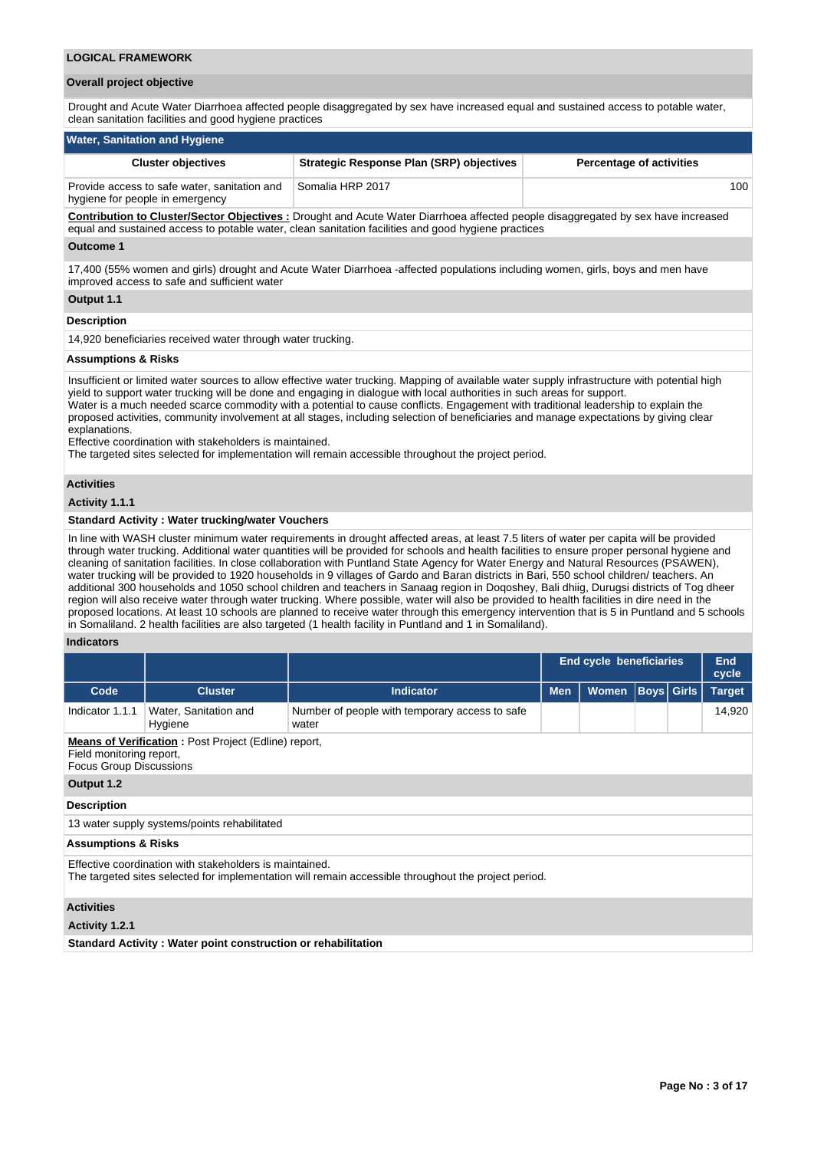## **LOGICAL FRAMEWORK**

## **Overall project objective**

Drought and Acute Water Diarrhoea affected people disaggregated by sex have increased equal and sustained access to potable water, clean sanitation facilities and good hygiene practices

| <b>Water, Sanitation and Hygiene</b>                                            |                                                                                                                                                                                                                                                |                                 |
|---------------------------------------------------------------------------------|------------------------------------------------------------------------------------------------------------------------------------------------------------------------------------------------------------------------------------------------|---------------------------------|
| <b>Cluster objectives</b>                                                       | <b>Strategic Response Plan (SRP) objectives</b>                                                                                                                                                                                                | <b>Percentage of activities</b> |
| Provide access to safe water, sanitation and<br>hygiene for people in emergency | Somalia HRP 2017                                                                                                                                                                                                                               | 100                             |
|                                                                                 | <b>Contribution to Cluster/Sector Objectives:</b> Drought and Acute Water Diarrhoea affected people disaggregated by sex have increased<br>equal and sustained access to potable water, clean sanitation facilities and good hygiene practices |                                 |
| Outcome 1                                                                       |                                                                                                                                                                                                                                                |                                 |

17,400 (55% women and girls) drought and Acute Water Diarrhoea -affected populations including women, girls, boys and men have improved access to safe and sufficient water

## **Output 1.1**

#### **Description**

14,920 beneficiaries received water through water trucking.

## **Assumptions & Risks**

Insufficient or limited water sources to allow effective water trucking. Mapping of available water supply infrastructure with potential high yield to support water trucking will be done and engaging in dialogue with local authorities in such areas for support. Water is a much needed scarce commodity with a potential to cause conflicts. Engagement with traditional leadership to explain the proposed activities, community involvement at all stages, including selection of beneficiaries and manage expectations by giving clear explanations.

Effective coordination with stakeholders is maintained.

The targeted sites selected for implementation will remain accessible throughout the project period.

#### **Activities**

**Activity 1.1.1** 

#### **Standard Activity : Water trucking/water Vouchers**

In line with WASH cluster minimum water requirements in drought affected areas, at least 7.5 liters of water per capita will be provided through water trucking. Additional water quantities will be provided for schools and health facilities to ensure proper personal hygiene and cleaning of sanitation facilities. In close collaboration with Puntland State Agency for Water Energy and Natural Resources (PSAWEN), water trucking will be provided to 1920 households in 9 villages of Gardo and Baran districts in Bari, 550 school children/ teachers. An additional 300 households and 1050 school children and teachers in Sanaag region in Doqoshey, Bali dhiig, Durugsi districts of Tog dheer region will also receive water through water trucking. Where possible, water will also be provided to health facilities in dire need in the proposed locations. At least 10 schools are planned to receive water through this emergency intervention that is 5 in Puntland and 5 schools in Somaliland. 2 health facilities are also targeted (1 health facility in Puntland and 1 in Somaliland).

#### **Indicators**

|                                                                                                                           |                                                                                                                                                                 |                                                         | <b>End cycle beneficiaries</b>                  |  | End<br>cycle |               |        |  |  |
|---------------------------------------------------------------------------------------------------------------------------|-----------------------------------------------------------------------------------------------------------------------------------------------------------------|---------------------------------------------------------|-------------------------------------------------|--|--------------|---------------|--------|--|--|
| Code                                                                                                                      | <b>Cluster</b>                                                                                                                                                  | <b>Indicator</b>                                        | <b>Boys</b> Girls<br><b>Men</b><br><b>Women</b> |  |              | <b>Target</b> |        |  |  |
| Indicator 1.1.1                                                                                                           | Water, Sanitation and<br>Hygiene                                                                                                                                | Number of people with temporary access to safe<br>water |                                                 |  |              |               | 14,920 |  |  |
| <b>Means of Verification:</b> Post Project (Edline) report,<br>Field monitoring report,<br><b>Focus Group Discussions</b> |                                                                                                                                                                 |                                                         |                                                 |  |              |               |        |  |  |
| Output 1.2                                                                                                                |                                                                                                                                                                 |                                                         |                                                 |  |              |               |        |  |  |
| <b>Description</b>                                                                                                        |                                                                                                                                                                 |                                                         |                                                 |  |              |               |        |  |  |
|                                                                                                                           | 13 water supply systems/points rehabilitated                                                                                                                    |                                                         |                                                 |  |              |               |        |  |  |
| <b>Assumptions &amp; Risks</b>                                                                                            |                                                                                                                                                                 |                                                         |                                                 |  |              |               |        |  |  |
|                                                                                                                           | Effective coordination with stakeholders is maintained.<br>The targeted sites selected for implementation will remain accessible throughout the project period. |                                                         |                                                 |  |              |               |        |  |  |
| <b>Activities</b>                                                                                                         |                                                                                                                                                                 |                                                         |                                                 |  |              |               |        |  |  |
| Activity 1.2.1                                                                                                            |                                                                                                                                                                 |                                                         |                                                 |  |              |               |        |  |  |

**Standard Activity : Water point construction or rehabilitation**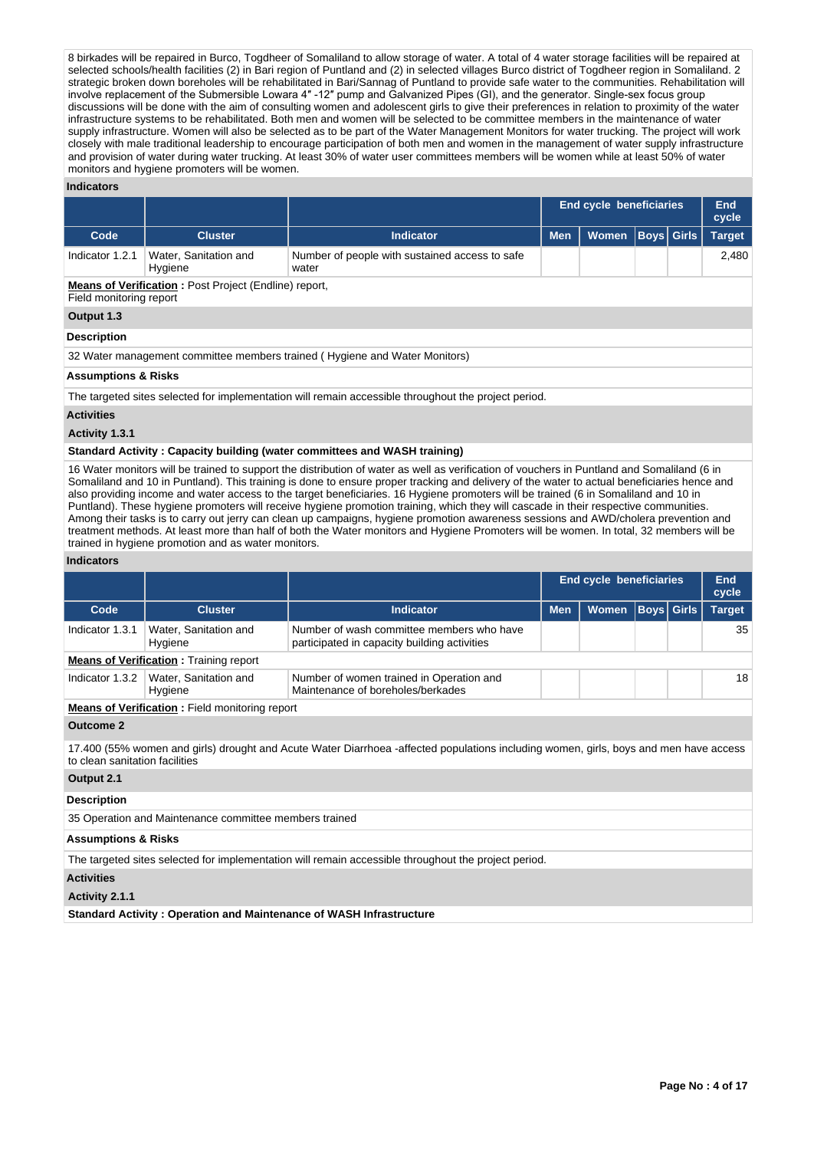8 birkades will be repaired in Burco, Togdheer of Somaliland to allow storage of water. A total of 4 water storage facilities will be repaired at selected schools/health facilities (2) in Bari region of Puntland and (2) in selected villages Burco district of Togdheer region in Somaliland. 2 strategic broken down boreholes will be rehabilitated in Bari/Sannag of Puntland to provide safe water to the communities. Rehabilitation will involve replacement of the Submersible Lowara 4" -12" pump and Galvanized Pipes (GI), and the generator. Single-sex focus group discussions will be done with the aim of consulting women and adolescent girls to give their preferences in relation to proximity of the water infrastructure systems to be rehabilitated. Both men and women will be selected to be committee members in the maintenance of water supply infrastructure. Women will also be selected as to be part of the Water Management Monitors for water trucking. The project will work closely with male traditional leadership to encourage participation of both men and women in the management of water supply infrastructure and provision of water during water trucking. At least 30% of water user committees members will be women while at least 50% of water monitors and hygiene promoters will be women.

## **Indicators**

|                                                                                         |                                  |                                                                                                      | <b>End cycle beneficiaries</b> | End<br>cycle |  |                   |               |  |
|-----------------------------------------------------------------------------------------|----------------------------------|------------------------------------------------------------------------------------------------------|--------------------------------|--------------|--|-------------------|---------------|--|
| Code                                                                                    | <b>Cluster</b>                   | <b>Indicator</b>                                                                                     | <b>Men</b>                     | <b>Women</b> |  | <b>Boys</b> Girls | <b>Target</b> |  |
| Indicator 1.2.1                                                                         | Water, Sanitation and<br>Hygiene | Number of people with sustained access to safe<br>water                                              |                                |              |  |                   | 2.480         |  |
| <b>Means of Verification: Post Project (Endline) report,</b><br>Field monitoring report |                                  |                                                                                                      |                                |              |  |                   |               |  |
| Output 1.3                                                                              |                                  |                                                                                                      |                                |              |  |                   |               |  |
| <b>Description</b>                                                                      |                                  |                                                                                                      |                                |              |  |                   |               |  |
|                                                                                         |                                  | 32 Water management committee members trained (Hygiene and Water Monitors)                           |                                |              |  |                   |               |  |
| <b>Assumptions &amp; Risks</b>                                                          |                                  |                                                                                                      |                                |              |  |                   |               |  |
|                                                                                         |                                  | The targeted sites selected for implementation will remain accessible throughout the project period. |                                |              |  |                   |               |  |

## **Activities**

#### **Activity 1.3.1**

#### **Standard Activity : Capacity building (water committees and WASH training)**

16 Water monitors will be trained to support the distribution of water as well as verification of vouchers in Puntland and Somaliland (6 in Somaliland and 10 in Puntland). This training is done to ensure proper tracking and delivery of the water to actual beneficiaries hence and also providing income and water access to the target beneficiaries. 16 Hygiene promoters will be trained (6 in Somaliland and 10 in Puntland). These hygiene promoters will receive hygiene promotion training, which they will cascade in their respective communities. Among their tasks is to carry out jerry can clean up campaigns, hygiene promotion awareness sessions and AWD/cholera prevention and treatment methods. At least more than half of both the Water monitors and Hygiene Promoters will be women. In total, 32 members will be trained in hygiene promotion and as water monitors.

## **Indicators**

|                                               |                                                       |                                                                                           | End cycle beneficiaries | End<br>cycle |                   |  |               |  |  |
|-----------------------------------------------|-------------------------------------------------------|-------------------------------------------------------------------------------------------|-------------------------|--------------|-------------------|--|---------------|--|--|
| Code                                          | <b>Cluster</b>                                        | <b>Indicator</b>                                                                          | <b>Men</b>              | <b>Women</b> | <b>Boys Girls</b> |  | <b>Target</b> |  |  |
| Indicator 1.3.1                               | Water, Sanitation and<br>Hygiene                      | Number of wash committee members who have<br>participated in capacity building activities |                         |              |                   |  | 35            |  |  |
| <b>Means of Verification: Training report</b> |                                                       |                                                                                           |                         |              |                   |  |               |  |  |
| Indicator 1.3.2                               | Water, Sanitation and<br>Hygiene                      | Number of women trained in Operation and<br>Maintenance of boreholes/berkades             |                         |              |                   |  | 18            |  |  |
|                                               | <b>Means of Verification:</b> Field monitoring report |                                                                                           |                         |              |                   |  |               |  |  |
| Outcome 2                                     |                                                       |                                                                                           |                         |              |                   |  |               |  |  |

17.400 (55% women and girls) drought and Acute Water Diarrhoea -affected populations including women, girls, boys and men have access to clean sanitation facilities

# **Output 2.1**

#### **Description**

35 Operation and Maintenance committee members trained

## **Assumptions & Risks**

The targeted sites selected for implementation will remain accessible throughout the project period.

#### **Activities**

#### **Activity 2.1.1**

**Standard Activity : Operation and Maintenance of WASH Infrastructure**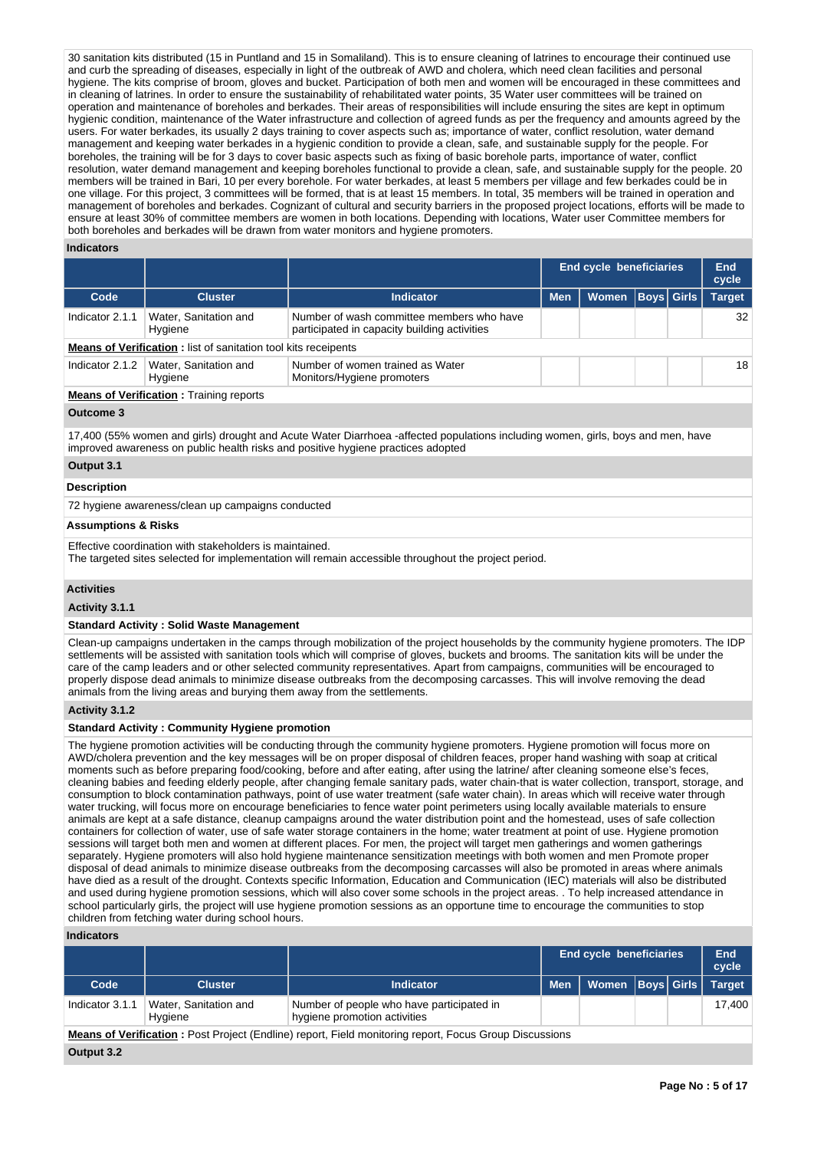30 sanitation kits distributed (15 in Puntland and 15 in Somaliland). This is to ensure cleaning of latrines to encourage their continued use and curb the spreading of diseases, especially in light of the outbreak of AWD and cholera, which need clean facilities and personal hygiene. The kits comprise of broom, gloves and bucket. Participation of both men and women will be encouraged in these committees and in cleaning of latrines. In order to ensure the sustainability of rehabilitated water points, 35 Water user committees will be trained on operation and maintenance of boreholes and berkades. Their areas of responsibilities will include ensuring the sites are kept in optimum hygienic condition, maintenance of the Water infrastructure and collection of agreed funds as per the frequency and amounts agreed by the users. For water berkades, its usually 2 days training to cover aspects such as; importance of water, conflict resolution, water demand management and keeping water berkades in a hygienic condition to provide a clean, safe, and sustainable supply for the people. For boreholes, the training will be for 3 days to cover basic aspects such as fixing of basic borehole parts, importance of water, conflict resolution, water demand management and keeping boreholes functional to provide a clean, safe, and sustainable supply for the people. 20 members will be trained in Bari, 10 per every borehole. For water berkades, at least 5 members per village and few berkades could be in one village. For this project, 3 committees will be formed, that is at least 15 members. In total, 35 members will be trained in operation and management of boreholes and berkades. Cognizant of cultural and security barriers in the proposed project locations, efforts will be made to ensure at least 30% of committee members are women in both locations. Depending with locations, Water user Committee members for both boreholes and berkades will be drawn from water monitors and hygiene promoters.

#### **Indicators**

|                 |                                                                       |                                                                                           | <b>End cycle beneficiaries</b> | End<br>cycle |  |                   |               |  |  |  |
|-----------------|-----------------------------------------------------------------------|-------------------------------------------------------------------------------------------|--------------------------------|--------------|--|-------------------|---------------|--|--|--|
| Code            | <b>Cluster</b>                                                        | <b>Indicator</b>                                                                          | <b>Men</b>                     | Women        |  | <b>Boys Girls</b> | <b>Target</b> |  |  |  |
| Indicator 2.1.1 | Water, Sanitation and<br>Hygiene                                      | Number of wash committee members who have<br>participated in capacity building activities |                                |              |  |                   | 32            |  |  |  |
|                 | <b>Means of Verification:</b> list of sanitation tool kits receipents |                                                                                           |                                |              |  |                   |               |  |  |  |
| Indicator 2.1.2 | Water, Sanitation and<br>Hygiene                                      | Number of women trained as Water<br>Monitors/Hygiene promoters                            |                                |              |  |                   | 18            |  |  |  |
|                 | <b>Means of Verification:</b> Training reports                        |                                                                                           |                                |              |  |                   |               |  |  |  |

# **Outcome 3**

17,400 (55% women and girls) drought and Acute Water Diarrhoea -affected populations including women, girls, boys and men, have improved awareness on public health risks and positive hygiene practices adopted

# **Output 3.1**

## **Description**

72 hygiene awareness/clean up campaigns conducted

## **Assumptions & Risks**

Effective coordination with stakeholders is maintained.

The targeted sites selected for implementation will remain accessible throughout the project period.

# **Activities**

**Activity 3.1.1** 

## **Standard Activity : Solid Waste Management**

Clean-up campaigns undertaken in the camps through mobilization of the project households by the community hygiene promoters. The IDP settlements will be assisted with sanitation tools which will comprise of gloves, buckets and brooms. The sanitation kits will be under the care of the camp leaders and or other selected community representatives. Apart from campaigns, communities will be encouraged to properly dispose dead animals to minimize disease outbreaks from the decomposing carcasses. This will involve removing the dead animals from the living areas and burying them away from the settlements.

# **Activity 3.1.2**

## **Standard Activity : Community Hygiene promotion**

The hygiene promotion activities will be conducting through the community hygiene promoters. Hygiene promotion will focus more on AWD/cholera prevention and the key messages will be on proper disposal of children feaces, proper hand washing with soap at critical moments such as before preparing food/cooking, before and after eating, after using the latrine/ after cleaning someone else's feces, cleaning babies and feeding elderly people, after changing female sanitary pads, water chain-that is water collection, transport, storage, and consumption to block contamination pathways, point of use water treatment (safe water chain). In areas which will receive water through water trucking, will focus more on encourage beneficiaries to fence water point perimeters using locally available materials to ensure animals are kept at a safe distance, cleanup campaigns around the water distribution point and the homestead, uses of safe collection containers for collection of water, use of safe water storage containers in the home; water treatment at point of use. Hygiene promotion sessions will target both men and women at different places. For men, the project will target men gatherings and women gatherings separately. Hygiene promoters will also hold hygiene maintenance sensitization meetings with both women and men Promote proper disposal of dead animals to minimize disease outbreaks from the decomposing carcasses will also be promoted in areas where animals have died as a result of the drought. Contexts specific Information, Education and Communication (IEC) materials will also be distributed and used during hygiene promotion sessions, which will also cover some schools in the project areas. . To help increased attendance in school particularly girls, the project will use hygiene promotion sessions as an opportune time to encourage the communities to stop children from fetching water during school hours.

# **Indicators**

|                                                                                                                |                                  |                                                                           | <b>End cycle beneficiaries</b> |                      | End<br>cycle |  |               |  |  |
|----------------------------------------------------------------------------------------------------------------|----------------------------------|---------------------------------------------------------------------------|--------------------------------|----------------------|--------------|--|---------------|--|--|
| Code                                                                                                           | <b>Cluster</b>                   | <b>Indicator</b>                                                          | <b>Men</b>                     | Women   Boys   Girls |              |  | <b>Target</b> |  |  |
| Indicator 3.1.1                                                                                                | Water, Sanitation and<br>Hygiene | Number of people who have participated in<br>hygiene promotion activities |                                |                      |              |  | 17.400        |  |  |
| <b>Means of Verification</b> : Post Project (Endline) report, Field monitoring report, Focus Group Discussions |                                  |                                                                           |                                |                      |              |  |               |  |  |
| Output 3.2                                                                                                     |                                  |                                                                           |                                |                      |              |  |               |  |  |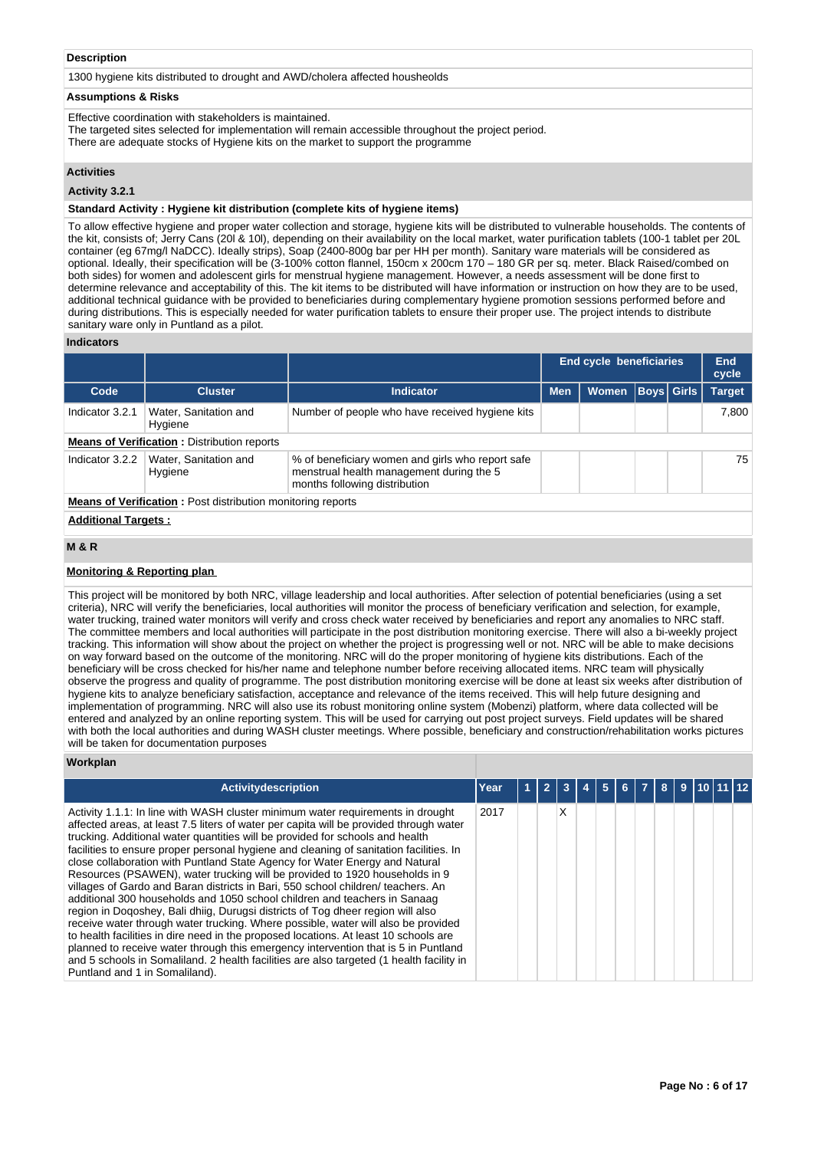# **Description**

1300 hygiene kits distributed to drought and AWD/cholera affected housheolds

# **Assumptions & Risks**

Effective coordination with stakeholders is maintained.

The targeted sites selected for implementation will remain accessible throughout the project period.

There are adequate stocks of Hygiene kits on the market to support the programme

# **Activities**

**Activity 3.2.1** 

#### **Standard Activity : Hygiene kit distribution (complete kits of hygiene items)**

To allow effective hygiene and proper water collection and storage, hygiene kits will be distributed to vulnerable households. The contents of the kit, consists of; Jerry Cans (20l & 10l), depending on their availability on the local market, water purification tablets (100-1 tablet per 20L container (eg 67mg/l NaDCC). Ideally strips), Soap (2400-800g bar per HH per month). Sanitary ware materials will be considered as optional. Ideally, their specification will be (3-100% cotton flannel, 150cm x 200cm 170 – 180 GR per sq. meter. Black Raised/combed on both sides) for women and adolescent girls for menstrual hygiene management. However, a needs assessment will be done first to determine relevance and acceptability of this. The kit items to be distributed will have information or instruction on how they are to be used, additional technical guidance with be provided to beneficiaries during complementary hygiene promotion sessions performed before and during distributions. This is especially needed for water purification tablets to ensure their proper use. The project intends to distribute sanitary ware only in Puntland as a pilot.

## **Indicators**

|                                                                    |                                  |                                                                                                                               | End cycle beneficiaries | End<br>cycle |  |                   |               |  |  |
|--------------------------------------------------------------------|----------------------------------|-------------------------------------------------------------------------------------------------------------------------------|-------------------------|--------------|--|-------------------|---------------|--|--|
| Code                                                               | <b>Cluster</b>                   | <b>Indicator</b>                                                                                                              | <b>Men</b>              | <b>Women</b> |  | <b>Boys</b> Girls | <b>Target</b> |  |  |
| Indicator 3.2.1                                                    | Water, Sanitation and<br>Hygiene | Number of people who have received hygiene kits                                                                               |                         |              |  |                   | 7.800         |  |  |
| <b>Means of Verification:</b> Distribution reports                 |                                  |                                                                                                                               |                         |              |  |                   |               |  |  |
| Indicator 3.2.2                                                    | Water, Sanitation and<br>Hygiene | % of beneficiary women and girls who report safe<br>menstrual health management during the 5<br>months following distribution |                         |              |  |                   | 75            |  |  |
| <b>Means of Verification:</b> Post distribution monitoring reports |                                  |                                                                                                                               |                         |              |  |                   |               |  |  |
| <b>Additional Targets:</b>                                         |                                  |                                                                                                                               |                         |              |  |                   |               |  |  |

# **M & R**

## **Monitoring & Reporting plan**

This project will be monitored by both NRC, village leadership and local authorities. After selection of potential beneficiaries (using a set criteria), NRC will verify the beneficiaries, local authorities will monitor the process of beneficiary verification and selection, for example, water trucking, trained water monitors will verify and cross check water received by beneficiaries and report any anomalies to NRC staff. The committee members and local authorities will participate in the post distribution monitoring exercise. There will also a bi-weekly project tracking. This information will show about the project on whether the project is progressing well or not. NRC will be able to make decisions on way forward based on the outcome of the monitoring. NRC will do the proper monitoring of hygiene kits distributions. Each of the beneficiary will be cross checked for his/her name and telephone number before receiving allocated items. NRC team will physically observe the progress and quality of programme. The post distribution monitoring exercise will be done at least six weeks after distribution of hygiene kits to analyze beneficiary satisfaction, acceptance and relevance of the items received. This will help future designing and implementation of programming. NRC will also use its robust monitoring online system (Mobenzi) platform, where data collected will be entered and analyzed by an online reporting system. This will be used for carrying out post project surveys. Field updates will be shared with both the local authorities and during WASH cluster meetings. Where possible, beneficiary and construction/rehabilitation works pictures will be taken for documentation purposes

#### **Workplan**

| Activitydescription                                                                                                                                                                                                                                                                                                                                                                                                                                                                                                                                                                                                                                                                                                                                                                                                                                                                                                                                                                                                                                                                                                                                                     | Year | ., |   |  |  |  |  |  |
|-------------------------------------------------------------------------------------------------------------------------------------------------------------------------------------------------------------------------------------------------------------------------------------------------------------------------------------------------------------------------------------------------------------------------------------------------------------------------------------------------------------------------------------------------------------------------------------------------------------------------------------------------------------------------------------------------------------------------------------------------------------------------------------------------------------------------------------------------------------------------------------------------------------------------------------------------------------------------------------------------------------------------------------------------------------------------------------------------------------------------------------------------------------------------|------|----|---|--|--|--|--|--|
| Activity 1.1.1: In line with WASH cluster minimum water requirements in drought<br>affected areas, at least 7.5 liters of water per capita will be provided through water<br>trucking. Additional water quantities will be provided for schools and health<br>facilities to ensure proper personal hygiene and cleaning of sanitation facilities. In<br>close collaboration with Puntland State Agency for Water Energy and Natural<br>Resources (PSAWEN), water trucking will be provided to 1920 households in 9<br>villages of Gardo and Baran districts in Bari, 550 school children/ teachers. An<br>additional 300 households and 1050 school children and teachers in Sanaag<br>region in Dogoshey, Bali dhiig, Durugsi districts of Tog dheer region will also<br>receive water through water trucking. Where possible, water will also be provided<br>to health facilities in dire need in the proposed locations. At least 10 schools are<br>planned to receive water through this emergency intervention that is 5 in Puntland<br>and 5 schools in Somaliland. 2 health facilities are also targeted (1 health facility in<br>Puntland and 1 in Somaliland). | 2017 |    | x |  |  |  |  |  |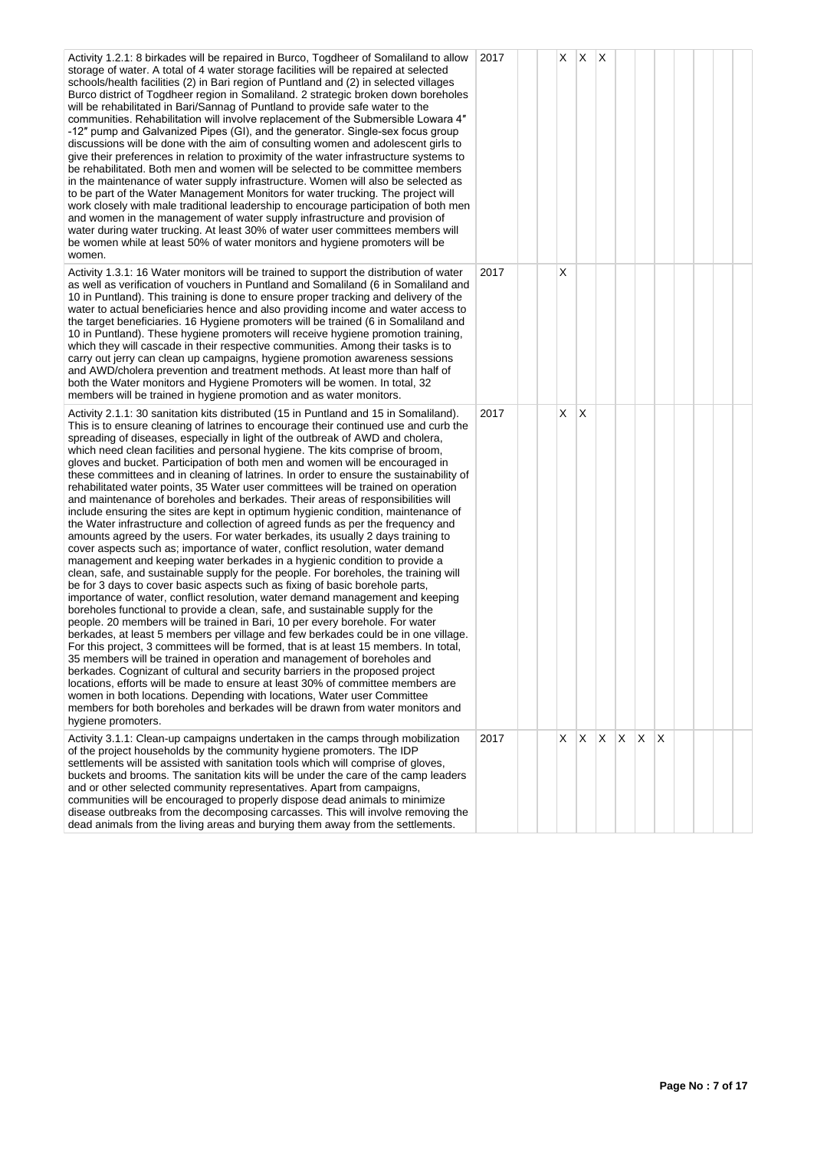| Activity 1.2.1: 8 birkades will be repaired in Burco, Togdheer of Somaliland to allow<br>storage of water. A total of 4 water storage facilities will be repaired at selected<br>schools/health facilities (2) in Bari region of Puntland and (2) in selected villages<br>Burco district of Togdheer region in Somaliland. 2 strategic broken down boreholes<br>will be rehabilitated in Bari/Sannag of Puntland to provide safe water to the<br>communities. Rehabilitation will involve replacement of the Submersible Lowara 4"<br>-12" pump and Galvanized Pipes (GI), and the generator. Single-sex focus group<br>discussions will be done with the aim of consulting women and adolescent girls to<br>give their preferences in relation to proximity of the water infrastructure systems to<br>be rehabilitated. Both men and women will be selected to be committee members<br>in the maintenance of water supply infrastructure. Women will also be selected as<br>to be part of the Water Management Monitors for water trucking. The project will<br>work closely with male traditional leadership to encourage participation of both men<br>and women in the management of water supply infrastructure and provision of<br>water during water trucking. At least 30% of water user committees members will<br>be women while at least 50% of water monitors and hygiene promoters will be<br>women.                                                                                                                                                                                                                                                                                                                                                                                                                                                                                                                                                                                                                                                                                                                                                        | 2017 | X. | X            | $\mathsf{I} \mathsf{X}$ |  |     |  |  |
|-------------------------------------------------------------------------------------------------------------------------------------------------------------------------------------------------------------------------------------------------------------------------------------------------------------------------------------------------------------------------------------------------------------------------------------------------------------------------------------------------------------------------------------------------------------------------------------------------------------------------------------------------------------------------------------------------------------------------------------------------------------------------------------------------------------------------------------------------------------------------------------------------------------------------------------------------------------------------------------------------------------------------------------------------------------------------------------------------------------------------------------------------------------------------------------------------------------------------------------------------------------------------------------------------------------------------------------------------------------------------------------------------------------------------------------------------------------------------------------------------------------------------------------------------------------------------------------------------------------------------------------------------------------------------------------------------------------------------------------------------------------------------------------------------------------------------------------------------------------------------------------------------------------------------------------------------------------------------------------------------------------------------------------------------------------------------------------------------------------------------------------------------------------------------|------|----|--------------|-------------------------|--|-----|--|--|
| Activity 1.3.1: 16 Water monitors will be trained to support the distribution of water<br>as well as verification of vouchers in Puntland and Somaliland (6 in Somaliland and<br>10 in Puntland). This training is done to ensure proper tracking and delivery of the<br>water to actual beneficiaries hence and also providing income and water access to<br>the target beneficiaries. 16 Hygiene promoters will be trained (6 in Somaliland and<br>10 in Puntland). These hygiene promoters will receive hygiene promotion training,<br>which they will cascade in their respective communities. Among their tasks is to<br>carry out jerry can clean up campaigns, hygiene promotion awareness sessions<br>and AWD/cholera prevention and treatment methods. At least more than half of<br>both the Water monitors and Hygiene Promoters will be women. In total, 32<br>members will be trained in hygiene promotion and as water monitors.                                                                                                                                                                                                                                                                                                                                                                                                                                                                                                                                                                                                                                                                                                                                                                                                                                                                                                                                                                                                                                                                                                                                                                                                                          | 2017 | X  |              |                         |  |     |  |  |
| Activity 2.1.1: 30 sanitation kits distributed (15 in Puntland and 15 in Somaliland).<br>This is to ensure cleaning of latrines to encourage their continued use and curb the<br>spreading of diseases, especially in light of the outbreak of AWD and cholera,<br>which need clean facilities and personal hygiene. The kits comprise of broom,<br>gloves and bucket. Participation of both men and women will be encouraged in<br>these committees and in cleaning of latrines. In order to ensure the sustainability of<br>rehabilitated water points, 35 Water user committees will be trained on operation<br>and maintenance of boreholes and berkades. Their areas of responsibilities will<br>include ensuring the sites are kept in optimum hygienic condition, maintenance of<br>the Water infrastructure and collection of agreed funds as per the frequency and<br>amounts agreed by the users. For water berkades, its usually 2 days training to<br>cover aspects such as; importance of water, conflict resolution, water demand<br>management and keeping water berkades in a hygienic condition to provide a<br>clean, safe, and sustainable supply for the people. For boreholes, the training will<br>be for 3 days to cover basic aspects such as fixing of basic borehole parts,<br>importance of water, conflict resolution, water demand management and keeping<br>boreholes functional to provide a clean, safe, and sustainable supply for the<br>people. 20 members will be trained in Bari, 10 per every borehole. For water<br>berkades, at least 5 members per village and few berkades could be in one village.<br>For this project, 3 committees will be formed, that is at least 15 members. In total,<br>35 members will be trained in operation and management of boreholes and<br>berkades. Cognizant of cultural and security barriers in the proposed project<br>locations, efforts will be made to ensure at least 30% of committee members are<br>women in both locations. Depending with locations, Water user Committee<br>members for both boreholes and berkades will be drawn from water monitors and<br>hygiene promoters. | 2017 | X  | $\mathsf{X}$ |                         |  |     |  |  |
| Activity 3.1.1: Clean-up campaigns undertaken in the camps through mobilization<br>of the project households by the community hygiene promoters. The IDP<br>settlements will be assisted with sanitation tools which will comprise of gloves,<br>buckets and brooms. The sanitation kits will be under the care of the camp leaders<br>and or other selected community representatives. Apart from campaigns,<br>communities will be encouraged to properly dispose dead animals to minimize<br>disease outbreaks from the decomposing carcasses. This will involve removing the<br>dead animals from the living areas and burying them away from the settlements.                                                                                                                                                                                                                                                                                                                                                                                                                                                                                                                                                                                                                                                                                                                                                                                                                                                                                                                                                                                                                                                                                                                                                                                                                                                                                                                                                                                                                                                                                                      | 2017 | X. | IX.          | $X$ $X$ $X$             |  | ΙX. |  |  |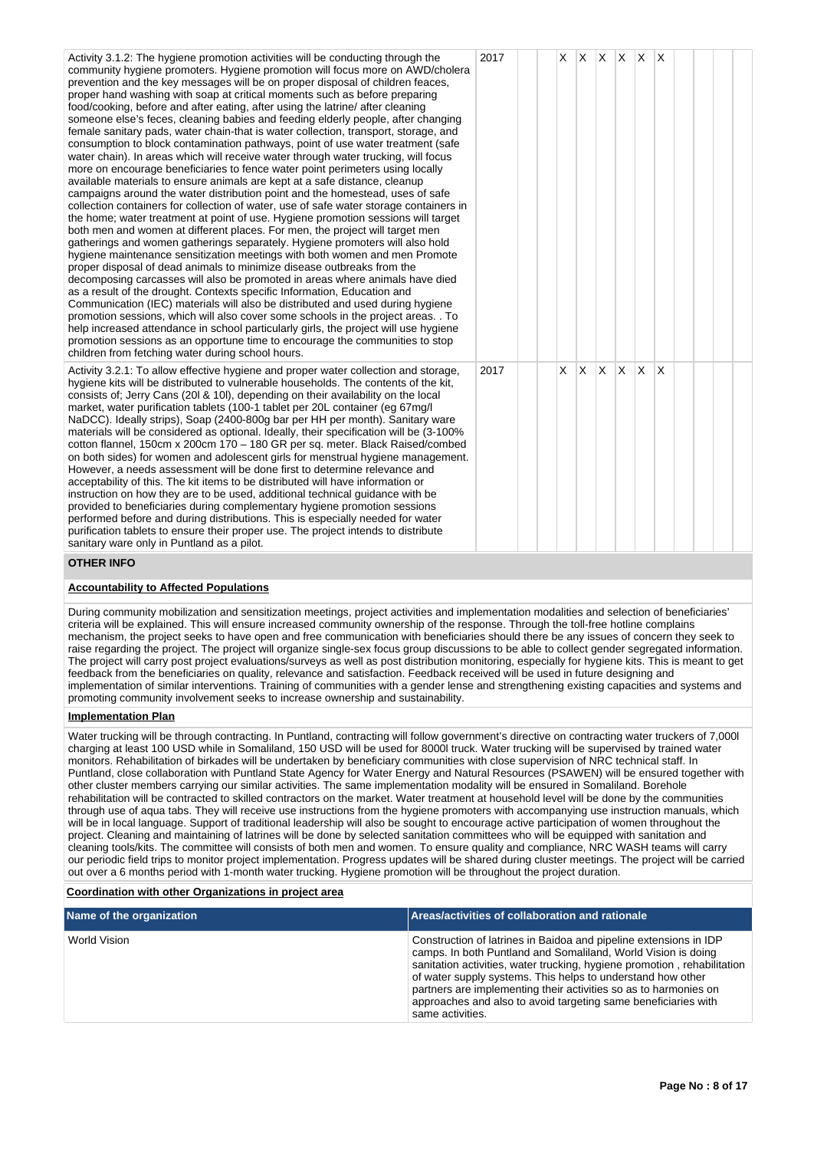| Activity 3.1.2: The hygiene promotion activities will be conducting through the<br>community hygiene promoters. Hygiene promotion will focus more on AWD/cholera<br>prevention and the key messages will be on proper disposal of children feaces,<br>proper hand washing with soap at critical moments such as before preparing<br>food/cooking, before and after eating, after using the latrine/ after cleaning<br>someone else's feces, cleaning babies and feeding elderly people, after changing<br>female sanitary pads, water chain-that is water collection, transport, storage, and<br>consumption to block contamination pathways, point of use water treatment (safe<br>water chain). In areas which will receive water through water trucking, will focus<br>more on encourage beneficiaries to fence water point perimeters using locally<br>available materials to ensure animals are kept at a safe distance, cleanup<br>campaigns around the water distribution point and the homestead, uses of safe<br>collection containers for collection of water, use of safe water storage containers in<br>the home; water treatment at point of use. Hygiene promotion sessions will target<br>both men and women at different places. For men, the project will target men<br>gatherings and women gatherings separately. Hygiene promoters will also hold<br>hygiene maintenance sensitization meetings with both women and men Promote<br>proper disposal of dead animals to minimize disease outbreaks from the<br>decomposing carcasses will also be promoted in areas where animals have died<br>as a result of the drought. Contexts specific Information, Education and<br>Communication (IEC) materials will also be distributed and used during hygiene<br>promotion sessions, which will also cover some schools in the project areas. . To<br>help increased attendance in school particularly girls, the project will use hygiene<br>promotion sessions as an opportune time to encourage the communities to stop<br>children from fetching water during school hours. | 2017 |   |              |              |    | $X$ $X$ $X$ $X$ $X$ $X$ |              |  |  |
|-----------------------------------------------------------------------------------------------------------------------------------------------------------------------------------------------------------------------------------------------------------------------------------------------------------------------------------------------------------------------------------------------------------------------------------------------------------------------------------------------------------------------------------------------------------------------------------------------------------------------------------------------------------------------------------------------------------------------------------------------------------------------------------------------------------------------------------------------------------------------------------------------------------------------------------------------------------------------------------------------------------------------------------------------------------------------------------------------------------------------------------------------------------------------------------------------------------------------------------------------------------------------------------------------------------------------------------------------------------------------------------------------------------------------------------------------------------------------------------------------------------------------------------------------------------------------------------------------------------------------------------------------------------------------------------------------------------------------------------------------------------------------------------------------------------------------------------------------------------------------------------------------------------------------------------------------------------------------------------------------------------------------------------------------------------------------------------------------|------|---|--------------|--------------|----|-------------------------|--------------|--|--|
| Activity 3.2.1: To allow effective hygiene and proper water collection and storage,<br>hygiene kits will be distributed to vulnerable households. The contents of the kit,<br>consists of; Jerry Cans (201 & 10l), depending on their availability on the local<br>market, water purification tablets (100-1 tablet per 20L container (eg 67mg/l)<br>NaDCC). Ideally strips), Soap (2400-800g bar per HH per month). Sanitary ware<br>materials will be considered as optional. Ideally, their specification will be (3-100%)<br>cotton flannel, 150cm x 200cm 170 - 180 GR per sq. meter. Black Raised/combed<br>on both sides) for women and adolescent girls for menstrual hygiene management.<br>However, a needs assessment will be done first to determine relevance and<br>acceptability of this. The kit items to be distributed will have information or<br>instruction on how they are to be used, additional technical guidance with be<br>provided to beneficiaries during complementary hygiene promotion sessions<br>performed before and during distributions. This is especially needed for water<br>purification tablets to ensure their proper use. The project intends to distribute<br>sanitary ware only in Puntland as a pilot.                                                                                                                                                                                                                                                                                                                                                                                                                                                                                                                                                                                                                                                                                                                                                                                                                                         | 2017 | X | $\mathsf{X}$ | $\mathsf{X}$ | X. | ΙX.                     | $\mathsf{X}$ |  |  |
| <b>OTHER INFO</b>                                                                                                                                                                                                                                                                                                                                                                                                                                                                                                                                                                                                                                                                                                                                                                                                                                                                                                                                                                                                                                                                                                                                                                                                                                                                                                                                                                                                                                                                                                                                                                                                                                                                                                                                                                                                                                                                                                                                                                                                                                                                             |      |   |              |              |    |                         |              |  |  |
| <b>Accountability to Affected Populations</b>                                                                                                                                                                                                                                                                                                                                                                                                                                                                                                                                                                                                                                                                                                                                                                                                                                                                                                                                                                                                                                                                                                                                                                                                                                                                                                                                                                                                                                                                                                                                                                                                                                                                                                                                                                                                                                                                                                                                                                                                                                                 |      |   |              |              |    |                         |              |  |  |
| During community mobilization and sensitization meetings, project activities and implementation modalities and selection of beneficiaries'<br>criteria will be explained. This will ensure increased community ownership of the response. Through the toll-free hotline complains                                                                                                                                                                                                                                                                                                                                                                                                                                                                                                                                                                                                                                                                                                                                                                                                                                                                                                                                                                                                                                                                                                                                                                                                                                                                                                                                                                                                                                                                                                                                                                                                                                                                                                                                                                                                             |      |   |              |              |    |                         |              |  |  |

criteria will be explained. This will ensure increased community ownership of the response. Through the toll-free hotline complains mechanism, the project seeks to have open and free communication with beneficiaries should there be any issues of concern they seek to raise regarding the project. The project will organize single-sex focus group discussions to be able to collect gender segregated information. The project will carry post project evaluations/surveys as well as post distribution monitoring, especially for hygiene kits. This is meant to get feedback from the beneficiaries on quality, relevance and satisfaction. Feedback received will be used in future designing and implementation of similar interventions. Training of communities with a gender lense and strengthening existing capacities and systems and promoting community involvement seeks to increase ownership and sustainability.

# **Implementation Plan**

Water trucking will be through contracting. In Puntland, contracting will follow government's directive on contracting water truckers of 7,000l charging at least 100 USD while in Somaliland, 150 USD will be used for 8000l truck. Water trucking will be supervised by trained water monitors. Rehabilitation of birkades will be undertaken by beneficiary communities with close supervision of NRC technical staff. In Puntland, close collaboration with Puntland State Agency for Water Energy and Natural Resources (PSAWEN) will be ensured together with other cluster members carrying our similar activities. The same implementation modality will be ensured in Somaliland. Borehole rehabilitation will be contracted to skilled contractors on the market. Water treatment at household level will be done by the communities through use of aqua tabs. They will receive use instructions from the hygiene promoters with accompanying use instruction manuals, which will be in local language. Support of traditional leadership will also be sought to encourage active participation of women throughout the project. Cleaning and maintaining of latrines will be done by selected sanitation committees who will be equipped with sanitation and cleaning tools/kits. The committee will consists of both men and women. To ensure quality and compliance, NRC WASH teams will carry our periodic field trips to monitor project implementation. Progress updates will be shared during cluster meetings. The project will be carried out over a 6 months period with 1-month water trucking. Hygiene promotion will be throughout the project duration.

## **Coordination with other Organizations in project area**

| Name of the organization | Areas/activities of collaboration and rationale                                                                                                                                                                                                                                                                                                                                                                                         |
|--------------------------|-----------------------------------------------------------------------------------------------------------------------------------------------------------------------------------------------------------------------------------------------------------------------------------------------------------------------------------------------------------------------------------------------------------------------------------------|
| World Vision             | Construction of latrines in Baidoa and pipeline extensions in IDP<br>camps. In both Puntland and Somaliland, World Vision is doing<br>sanitation activities, water trucking, hygiene promotion, rehabilitation<br>of water supply systems. This helps to understand how other<br>partners are implementing their activities so as to harmonies on<br>approaches and also to avoid targeting same beneficiaries with<br>same activities. |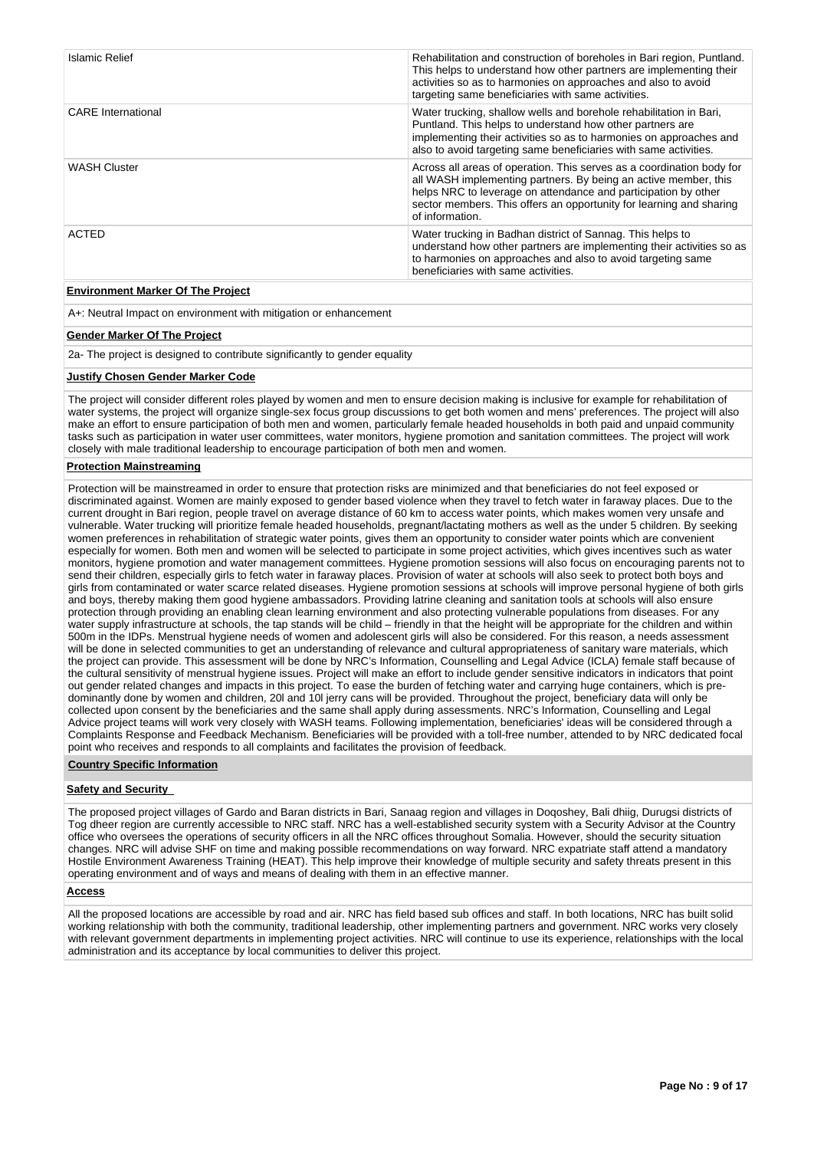| Islamic Relief            | Rehabilitation and construction of boreholes in Bari region, Puntland.<br>This helps to understand how other partners are implementing their<br>activities so as to harmonies on approaches and also to avoid<br>targeting same beneficiaries with same activities.                                  |
|---------------------------|------------------------------------------------------------------------------------------------------------------------------------------------------------------------------------------------------------------------------------------------------------------------------------------------------|
| <b>CARE</b> International | Water trucking, shallow wells and borehole rehabilitation in Bari,<br>Puntland. This helps to understand how other partners are<br>implementing their activities so as to harmonies on approaches and<br>also to avoid targeting same beneficiaries with same activities.                            |
| <b>WASH Cluster</b>       | Across all areas of operation. This serves as a coordination body for<br>all WASH implementing partners. By being an active member, this<br>helps NRC to leverage on attendance and participation by other<br>sector members. This offers an opportunity for learning and sharing<br>of information. |
| <b>ACTED</b>              | Water trucking in Badhan district of Sannag. This helps to<br>understand how other partners are implementing their activities so as<br>to harmonies on approaches and also to avoid targeting same<br>beneficiaries with same activities.                                                            |

# **Environment Marker Of The Project**

A+: Neutral Impact on environment with mitigation or enhancement

# **Gender Marker Of The Project**

2a- The project is designed to contribute significantly to gender equality

## **Justify Chosen Gender Marker Code**

The project will consider different roles played by women and men to ensure decision making is inclusive for example for rehabilitation of water systems, the project will organize single-sex focus group discussions to get both women and mens' preferences. The project will also make an effort to ensure participation of both men and women, particularly female headed households in both paid and unpaid community tasks such as participation in water user committees, water monitors, hygiene promotion and sanitation committees. The project will work closely with male traditional leadership to encourage participation of both men and women.

## **Protection Mainstreaming**

Protection will be mainstreamed in order to ensure that protection risks are minimized and that beneficiaries do not feel exposed or discriminated against. Women are mainly exposed to gender based violence when they travel to fetch water in faraway places. Due to the current drought in Bari region, people travel on average distance of 60 km to access water points, which makes women very unsafe and vulnerable. Water trucking will prioritize female headed households, pregnant/lactating mothers as well as the under 5 children. By seeking women preferences in rehabilitation of strategic water points, gives them an opportunity to consider water points which are convenient especially for women. Both men and women will be selected to participate in some project activities, which gives incentives such as water monitors, hygiene promotion and water management committees. Hygiene promotion sessions will also focus on encouraging parents not to send their children, especially girls to fetch water in faraway places. Provision of water at schools will also seek to protect both boys and girls from contaminated or water scarce related diseases. Hygiene promotion sessions at schools will improve personal hygiene of both girls and boys, thereby making them good hygiene ambassadors. Providing latrine cleaning and sanitation tools at schools will also ensure protection through providing an enabling clean learning environment and also protecting vulnerable populations from diseases. For any water supply infrastructure at schools, the tap stands will be child – friendly in that the height will be appropriate for the children and within 500m in the IDPs. Menstrual hygiene needs of women and adolescent girls will also be considered. For this reason, a needs assessment will be done in selected communities to get an understanding of relevance and cultural appropriateness of sanitary ware materials, which the project can provide. This assessment will be done by NRC's Information, Counselling and Legal Advice (ICLA) female staff because of the cultural sensitivity of menstrual hygiene issues. Project will make an effort to include gender sensitive indicators in indicators that point out gender related changes and impacts in this project. To ease the burden of fetching water and carrying huge containers, which is predominantly done by women and children, 20l and 10l jerry cans will be provided. Throughout the project, beneficiary data will only be collected upon consent by the beneficiaries and the same shall apply during assessments. NRC's Information, Counselling and Legal Advice project teams will work very closely with WASH teams. Following implementation, beneficiaries' ideas will be considered through a Complaints Response and Feedback Mechanism. Beneficiaries will be provided with a toll-free number, attended to by NRC dedicated focal point who receives and responds to all complaints and facilitates the provision of feedback.

## **Country Specific Information**

# **Safety and Security**

The proposed project villages of Gardo and Baran districts in Bari, Sanaag region and villages in Doqoshey, Bali dhiig, Durugsi districts of Tog dheer region are currently accessible to NRC staff. NRC has a well-established security system with a Security Advisor at the Country office who oversees the operations of security officers in all the NRC offices throughout Somalia. However, should the security situation changes. NRC will advise SHF on time and making possible recommendations on way forward. NRC expatriate staff attend a mandatory Hostile Environment Awareness Training (HEAT). This help improve their knowledge of multiple security and safety threats present in this operating environment and of ways and means of dealing with them in an effective manner.

# **Access**

All the proposed locations are accessible by road and air. NRC has field based sub offices and staff. In both locations, NRC has built solid working relationship with both the community, traditional leadership, other implementing partners and government. NRC works very closely with relevant government departments in implementing project activities. NRC will continue to use its experience, relationships with the local administration and its acceptance by local communities to deliver this project.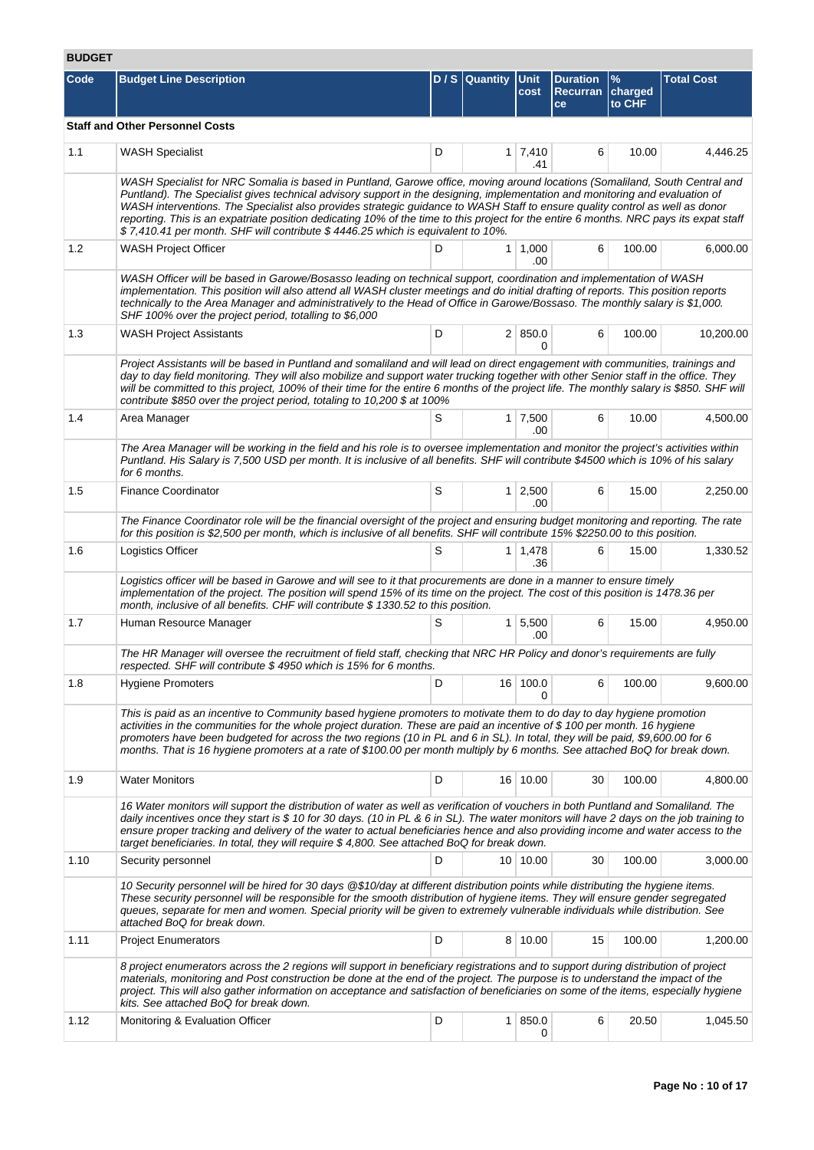# **BUDGET**

| Code | <b>Budget Line Description</b>                                                                                                                                                                                                                                                                                                                                                                                                                                                                                                                                                                                           |   | D / S Quantity Unit | cost                  | <b>Duration</b><br>Recurran charged<br>ce | $\%$<br>to CHF | <b>Total Cost</b> |
|------|--------------------------------------------------------------------------------------------------------------------------------------------------------------------------------------------------------------------------------------------------------------------------------------------------------------------------------------------------------------------------------------------------------------------------------------------------------------------------------------------------------------------------------------------------------------------------------------------------------------------------|---|---------------------|-----------------------|-------------------------------------------|----------------|-------------------|
|      | <b>Staff and Other Personnel Costs</b>                                                                                                                                                                                                                                                                                                                                                                                                                                                                                                                                                                                   |   |                     |                       |                                           |                |                   |
| 1.1  | <b>WASH Specialist</b>                                                                                                                                                                                                                                                                                                                                                                                                                                                                                                                                                                                                   | D |                     | $1 \mid 7,410$<br>.41 | 6                                         | 10.00          | 4,446.25          |
|      | WASH Specialist for NRC Somalia is based in Puntland, Garowe office, moving around locations (Somaliland, South Central and<br>Puntland). The Specialist gives technical advisory support in the designing, implementation and monitoring and evaluation of<br>WASH interventions. The Specialist also provides strategic guidance to WASH Staff to ensure quality control as well as donor<br>reporting. This is an expatriate position dedicating 10% of the time to this project for the entire 6 months. NRC pays its expat staff<br>\$7,410.41 per month. SHF will contribute \$4446.25 which is equivalent to 10%. |   |                     |                       |                                           |                |                   |
| 1.2  | <b>WASH Project Officer</b>                                                                                                                                                                                                                                                                                                                                                                                                                                                                                                                                                                                              | D |                     | $1 \mid 1,000$<br>.00 | 6                                         | 100.00         | 6,000.00          |
|      | WASH Officer will be based in Garowe/Bosasso leading on technical support, coordination and implementation of WASH<br>implementation. This position will also attend all WASH cluster meetings and do initial drafting of reports. This position reports<br>technically to the Area Manager and administratively to the Head of Office in Garowe/Bossaso. The monthly salary is \$1,000.<br>SHF 100% over the project period, totalling to \$6,000                                                                                                                                                                       |   |                     |                       |                                           |                |                   |
| 1.3  | <b>WASH Project Assistants</b>                                                                                                                                                                                                                                                                                                                                                                                                                                                                                                                                                                                           | D |                     | 2   850.0<br>0        | 6                                         | 100.00         | 10,200.00         |
|      | Project Assistants will be based in Puntland and somaliland and will lead on direct engagement with communities, trainings and<br>day to day field monitoring. They will also mobilize and support water trucking together with other Senior staff in the office. They<br>will be committed to this project, 100% of their time for the entire 6 months of the project life. The monthly salary is \$850. SHF will<br>contribute \$850 over the project period, totaling to 10,200 \$ at 100%                                                                                                                            |   |                     |                       |                                           |                |                   |
| 1.4  | Area Manager                                                                                                                                                                                                                                                                                                                                                                                                                                                                                                                                                                                                             | S |                     | $1 \mid 7,500$<br>.00 | 6                                         | 10.00          | 4,500.00          |
|      | The Area Manager will be working in the field and his role is to oversee implementation and monitor the project's activities within<br>Puntland. His Salary is 7,500 USD per month. It is inclusive of all benefits. SHF will contribute \$4500 which is 10% of his salary<br>for 6 months.                                                                                                                                                                                                                                                                                                                              |   |                     |                       |                                           |                |                   |
| 1.5  | <b>Finance Coordinator</b>                                                                                                                                                                                                                                                                                                                                                                                                                                                                                                                                                                                               | S |                     | $1 \mid 2,500$<br>.00 | 6                                         | 15.00          | 2,250.00          |
|      | The Finance Coordinator role will be the financial oversight of the project and ensuring budget monitoring and reporting. The rate<br>for this position is \$2,500 per month, which is inclusive of all benefits. SHF will contribute 15% \$2250.00 to this position.                                                                                                                                                                                                                                                                                                                                                    |   |                     |                       |                                           |                |                   |
| 1.6  | Logistics Officer                                                                                                                                                                                                                                                                                                                                                                                                                                                                                                                                                                                                        | S |                     | $1 \mid 1,478$<br>.36 | 6                                         | 15.00          | 1,330.52          |
|      | Logistics officer will be based in Garowe and will see to it that procurements are done in a manner to ensure timely<br>implementation of the project. The position will spend 15% of its time on the project. The cost of this position is 1478.36 per<br>month, inclusive of all benefits. CHF will contribute \$ 1330.52 to this position.                                                                                                                                                                                                                                                                            |   |                     |                       |                                           |                |                   |
| 1.7  | Human Resource Manager                                                                                                                                                                                                                                                                                                                                                                                                                                                                                                                                                                                                   | S |                     | $1 \, 5,500$<br>.00   | 6                                         | 15.00          | 4,950.00          |
|      | The HR Manager will oversee the recruitment of field staff, checking that NRC HR Policy and donor's requirements are fully<br>respected. SHF will contribute \$4950 which is 15% for 6 months.                                                                                                                                                                                                                                                                                                                                                                                                                           |   |                     |                       |                                           |                |                   |
| 1.8  | <b>Hygiene Promoters</b>                                                                                                                                                                                                                                                                                                                                                                                                                                                                                                                                                                                                 | D |                     | 16 100.0<br>0         | 6                                         | 100.00         | 9,600.00          |
|      | This is paid as an incentive to Community based hygiene promoters to motivate them to do day to day hygiene promotion<br>activities in the communities for the whole project duration. These are paid an incentive of \$100 per month. 16 hygiene<br>promoters have been budgeted for across the two regions (10 in PL and 6 in SL). In total, they will be paid, \$9,600.00 for 6<br>months. That is 16 hygiene promoters at a rate of \$100.00 per month multiply by 6 months. See attached BoQ for break down.                                                                                                        |   |                     |                       |                                           |                |                   |
| 1.9  | <b>Water Monitors</b>                                                                                                                                                                                                                                                                                                                                                                                                                                                                                                                                                                                                    | D |                     | 16 10.00              | 30                                        | 100.00         | 4,800.00          |
|      | 16 Water monitors will support the distribution of water as well as verification of vouchers in both Puntland and Somaliland. The<br>daily incentives once they start is \$10 for 30 days. (10 in PL & 6 in SL). The water monitors will have 2 days on the job training to<br>ensure proper tracking and delivery of the water to actual beneficiaries hence and also providing income and water access to the<br>target beneficiaries. In total, they will require $$4,800$ . See attached BoQ for break down.                                                                                                         |   |                     |                       |                                           |                |                   |
| 1.10 | Security personnel                                                                                                                                                                                                                                                                                                                                                                                                                                                                                                                                                                                                       | D |                     | 10 10.00              | 30                                        | 100.00         | 3,000.00          |
|      | 10 Security personnel will be hired for 30 days @\$10/day at different distribution points while distributing the hygiene items.<br>These security personnel will be responsible for the smooth distribution of hygiene items. They will ensure gender segregated<br>queues, separate for men and women. Special priority will be given to extremely vulnerable individuals while distribution. See<br>attached BoQ for break down.                                                                                                                                                                                      |   |                     |                       |                                           |                |                   |
| 1.11 | <b>Project Enumerators</b>                                                                                                                                                                                                                                                                                                                                                                                                                                                                                                                                                                                               | D |                     | 8 10.00               | 15                                        | 100.00         | 1,200.00          |
|      | 8 project enumerators across the 2 regions will support in beneficiary registrations and to support during distribution of project<br>materials, monitoring and Post construction be done at the end of the project. The purpose is to understand the impact of the<br>project. This will also gather information on acceptance and satisfaction of beneficiaries on some of the items, especially hygiene<br>kits. See attached BoQ for break down.                                                                                                                                                                     |   |                     |                       |                                           |                |                   |
| 1.12 | Monitoring & Evaluation Officer                                                                                                                                                                                                                                                                                                                                                                                                                                                                                                                                                                                          | D |                     | 1 850.0<br>0          | 6                                         | 20.50          | 1,045.50          |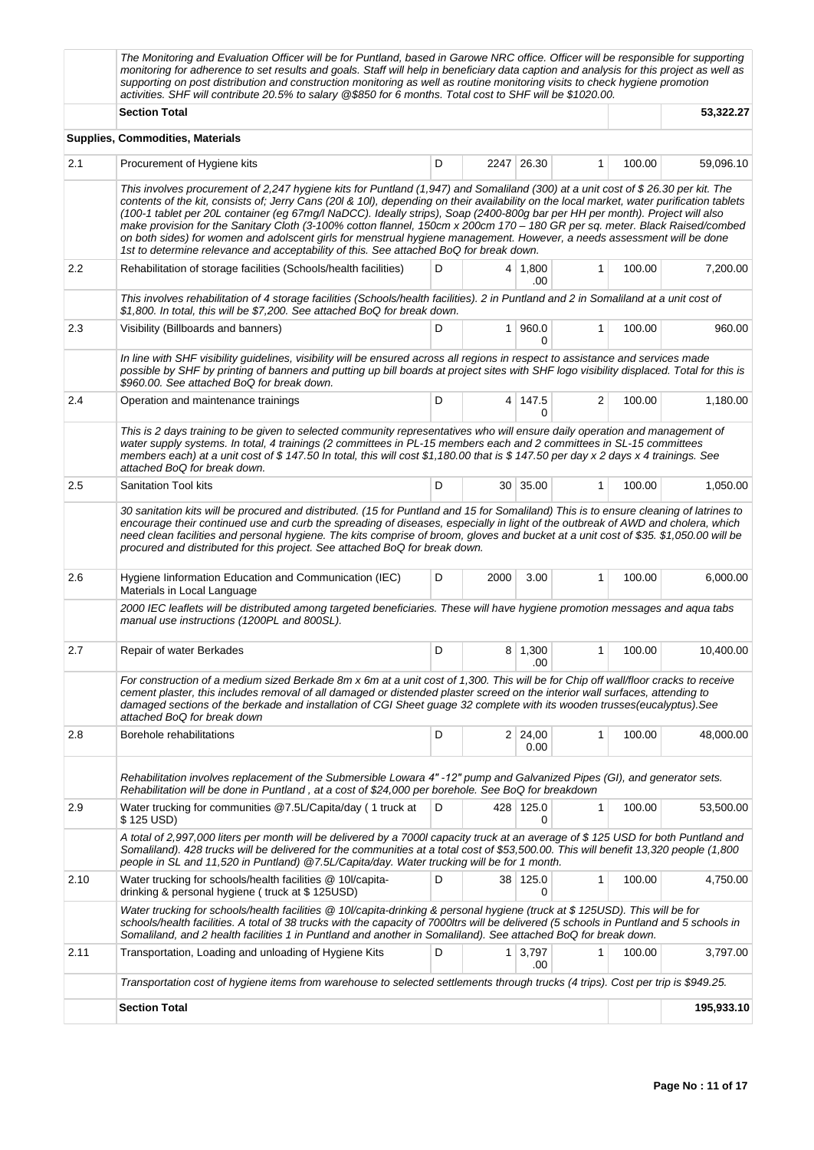|      | The Monitoring and Evaluation Officer will be for Puntland, based in Garowe NRC office. Officer will be responsible for supporting<br>monitoring for adherence to set results and goals. Staff will help in beneficiary data caption and analysis for this project as well as<br>supporting on post distribution and construction monitoring as well as routine monitoring visits to check hygiene promotion<br>activities. SHF will contribute 20.5% to salary @\$850 for 6 months. Total cost to SHF will be \$1020.00.                                                                                                                                                                                                                                         |   |                |                        |              |        |            |  |  |  |
|------|-------------------------------------------------------------------------------------------------------------------------------------------------------------------------------------------------------------------------------------------------------------------------------------------------------------------------------------------------------------------------------------------------------------------------------------------------------------------------------------------------------------------------------------------------------------------------------------------------------------------------------------------------------------------------------------------------------------------------------------------------------------------|---|----------------|------------------------|--------------|--------|------------|--|--|--|
|      | <b>Section Total</b>                                                                                                                                                                                                                                                                                                                                                                                                                                                                                                                                                                                                                                                                                                                                              |   |                |                        |              |        |            |  |  |  |
|      | Supplies, Commodities, Materials                                                                                                                                                                                                                                                                                                                                                                                                                                                                                                                                                                                                                                                                                                                                  |   |                |                        |              |        |            |  |  |  |
| 2.1  | D<br>2247 26.30<br>100.00<br>Procurement of Hygiene kits<br>$\mathbf{1}$                                                                                                                                                                                                                                                                                                                                                                                                                                                                                                                                                                                                                                                                                          |   |                |                        |              |        |            |  |  |  |
|      | This involves procurement of 2,247 hygiene kits for Puntland (1,947) and Somaliland (300) at a unit cost of \$26.30 per kit. The<br>contents of the kit, consists of; Jerry Cans (20I & 10I), depending on their availability on the local market, water purification tablets<br>(100-1 tablet per 20L container (eg 67mg/l NaDCC). Ideally strips), Soap (2400-800g bar per HH per month). Project will also<br>make provision for the Sanitary Cloth (3-100% cotton flannel, 150cm x 200cm 170 - 180 GR per sq. meter. Black Raised/combed<br>on both sides) for women and adolscent girls for menstrual hygiene management. However, a needs assessment will be done<br>1st to determine relevance and acceptability of this. See attached BoQ for break down. |   |                |                        |              |        |            |  |  |  |
| 2.2  | Rehabilitation of storage facilities (Schools/health facilities)                                                                                                                                                                                                                                                                                                                                                                                                                                                                                                                                                                                                                                                                                                  | D |                | $4 \mid 1,800$<br>.00  | $\mathbf{1}$ | 100.00 | 7,200.00   |  |  |  |
|      | This involves rehabilitation of 4 storage facilities (Schools/health facilities). 2 in Puntland and 2 in Somaliland at a unit cost of<br>\$1,800. In total, this will be \$7,200. See attached BoQ for break down.                                                                                                                                                                                                                                                                                                                                                                                                                                                                                                                                                |   |                |                        |              |        |            |  |  |  |
| 2.3  | Visibility (Billboards and banners)                                                                                                                                                                                                                                                                                                                                                                                                                                                                                                                                                                                                                                                                                                                               | D | 1 <sup>1</sup> | 960.0<br>$\Omega$      | 1            | 100.00 | 960.00     |  |  |  |
|      | In line with SHF visibility guidelines, visibility will be ensured across all regions in respect to assistance and services made<br>possible by SHF by printing of banners and putting up bill boards at project sites with SHF logo visibility displaced. Total for this is<br>\$960.00. See attached BoQ for break down.                                                                                                                                                                                                                                                                                                                                                                                                                                        |   |                |                        |              |        |            |  |  |  |
| 2.4  | Operation and maintenance trainings                                                                                                                                                                                                                                                                                                                                                                                                                                                                                                                                                                                                                                                                                                                               | D |                | 4 147.5<br>0           | 2            | 100.00 | 1,180.00   |  |  |  |
|      | This is 2 days training to be given to selected community representatives who will ensure daily operation and management of<br>water supply systems. In total, 4 trainings (2 committees in PL-15 members each and 2 committees in SL-15 committees<br>members each) at a unit cost of \$147.50 In total, this will cost \$1,180.00 that is \$147.50 per day x 2 days x 4 trainings. See<br>attached BoQ for break down.                                                                                                                                                                                                                                                                                                                                          |   |                |                        |              |        |            |  |  |  |
| 2.5  | Sanitation Tool kits                                                                                                                                                                                                                                                                                                                                                                                                                                                                                                                                                                                                                                                                                                                                              | D |                | 30 35.00               | $\mathbf{1}$ | 100.00 | 1,050.00   |  |  |  |
|      | 30 sanitation kits will be procured and distributed. (15 for Puntland and 15 for Somaliland) This is to ensure cleaning of latrines to<br>encourage their continued use and curb the spreading of diseases, especially in light of the outbreak of AWD and cholera, which<br>need clean facilities and personal hygiene. The kits comprise of broom, gloves and bucket at a unit cost of \$35, \$1,050.00 will be<br>procured and distributed for this project. See attached BoQ for break down.                                                                                                                                                                                                                                                                  |   |                |                        |              |        |            |  |  |  |
| 2.6  | Hygiene linformation Education and Communication (IEC)<br>Materials in Local Language                                                                                                                                                                                                                                                                                                                                                                                                                                                                                                                                                                                                                                                                             | D | 2000           | 3.00                   | $\mathbf{1}$ | 100.00 | 6,000.00   |  |  |  |
|      | 2000 IEC leaflets will be distributed among targeted beneficiaries. These will have hygiene promotion messages and aqua tabs<br>manual use instructions (1200PL and 800SL).                                                                                                                                                                                                                                                                                                                                                                                                                                                                                                                                                                                       |   |                |                        |              |        |            |  |  |  |
| 2.7  | Repair of water Berkades                                                                                                                                                                                                                                                                                                                                                                                                                                                                                                                                                                                                                                                                                                                                          | D |                | $8 \mid 1,300$<br>.00  | 1            | 100.00 | 10,400.00  |  |  |  |
|      | For construction of a medium sized Berkade 8m x 6m at a unit cost of 1,300. This will be for Chip off wall/floor cracks to receive<br>cement plaster, this includes removal of all damaged or distended plaster screed on the interior wall surfaces, attending to<br>damaged sections of the berkade and installation of CGI Sheet guage 32 complete with its wooden trusses(eucalyptus). See<br>attached BoQ for break down                                                                                                                                                                                                                                                                                                                                     |   |                |                        |              |        |            |  |  |  |
| 2.8  | Borehole rehabilitations                                                                                                                                                                                                                                                                                                                                                                                                                                                                                                                                                                                                                                                                                                                                          | D |                | $2 \mid 24,00$<br>0.00 | $\mathbf{1}$ | 100.00 | 48,000.00  |  |  |  |
|      | Rehabilitation involves replacement of the Submersible Lowara 4" -12" pump and Galvanized Pipes (GI), and generator sets.<br>Rehabilitation will be done in Puntland, at a cost of \$24,000 per borehole. See BoQ for breakdown                                                                                                                                                                                                                                                                                                                                                                                                                                                                                                                                   |   |                |                        |              |        |            |  |  |  |
| 2.9  | Water trucking for communities @7.5L/Capita/day (1 truck at<br>\$125 USD)                                                                                                                                                                                                                                                                                                                                                                                                                                                                                                                                                                                                                                                                                         | D |                | 428 125.0<br>0         | 1            | 100.00 | 53,500.00  |  |  |  |
|      | A total of 2,997,000 liters per month will be delivered by a 7000l capacity truck at an average of \$125 USD for both Puntland and<br>Somaliland). 428 trucks will be delivered for the communities at a total cost of \$53,500.00. This will benefit 13,320 people (1,800<br>people in SL and 11,520 in Puntland) @7.5L/Capita/day. Water trucking will be for 1 month.                                                                                                                                                                                                                                                                                                                                                                                          |   |                |                        |              |        |            |  |  |  |
| 2.10 | Water trucking for schools/health facilities @ 10l/capita-<br>drinking & personal hygiene (truck at \$125USD)                                                                                                                                                                                                                                                                                                                                                                                                                                                                                                                                                                                                                                                     | D |                | 38 125.0<br>0          | 1            | 100.00 | 4,750.00   |  |  |  |
|      | Water trucking for schools/health facilities @ 10//capita-drinking & personal hygiene (truck at \$ 125USD). This will be for<br>schools/health facilities. A total of 38 trucks with the capacity of 7000ltrs will be delivered (5 schools in Puntland and 5 schools in<br>Somaliland, and 2 health facilities 1 in Puntland and another in Somaliland). See attached BoQ for break down.                                                                                                                                                                                                                                                                                                                                                                         |   |                |                        |              |        |            |  |  |  |
| 2.11 | Transportation, Loading and unloading of Hygiene Kits                                                                                                                                                                                                                                                                                                                                                                                                                                                                                                                                                                                                                                                                                                             | D |                | $1 \mid 3,797$<br>.00  | 1            | 100.00 | 3,797.00   |  |  |  |
|      | Transportation cost of hygiene items from warehouse to selected settlements through trucks (4 trips). Cost per trip is \$949.25.                                                                                                                                                                                                                                                                                                                                                                                                                                                                                                                                                                                                                                  |   |                |                        |              |        |            |  |  |  |
|      | <b>Section Total</b>                                                                                                                                                                                                                                                                                                                                                                                                                                                                                                                                                                                                                                                                                                                                              |   |                |                        |              |        | 195,933.10 |  |  |  |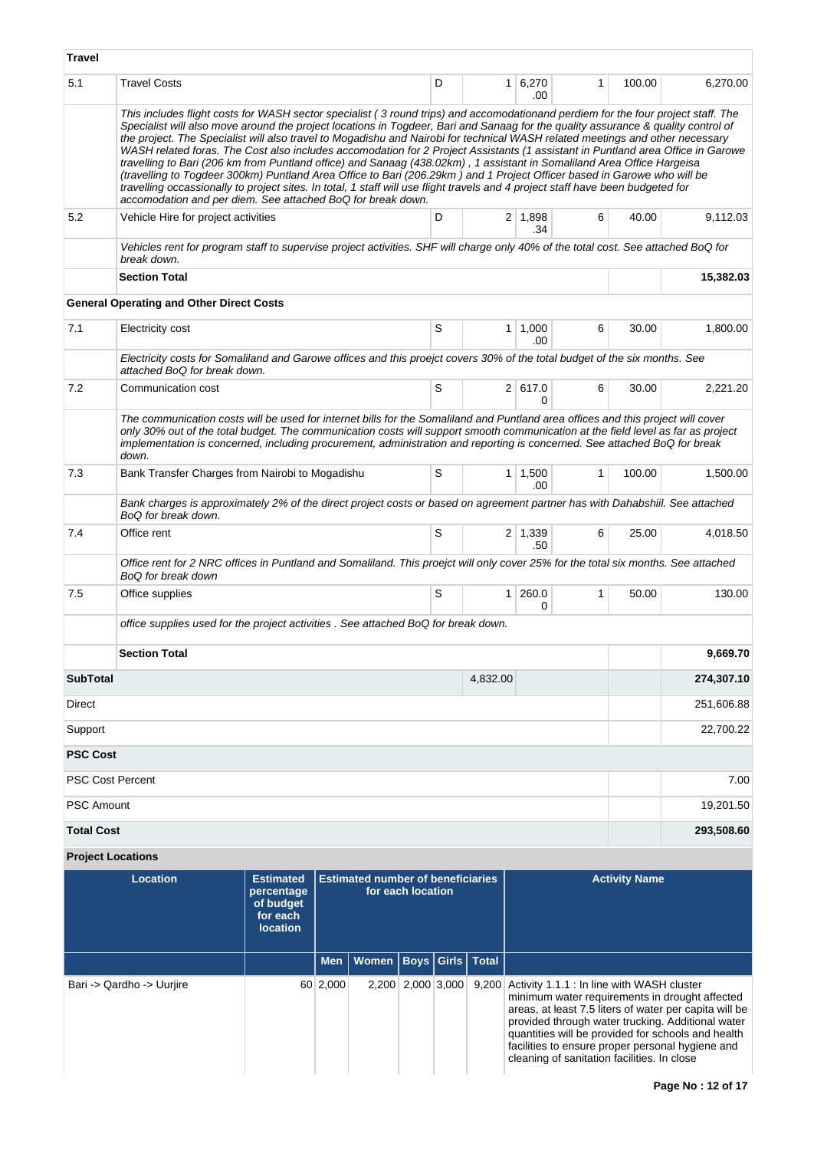| <b>Travel</b>     |                                                 |                                                                                                                                                                                                                                                                                                                                                                                                                                                                                                                                                                                                                                                                                                                                                                                                                                                                                                                                                                                                   |                                          |                |                       |              |                      |            |
|-------------------|-------------------------------------------------|---------------------------------------------------------------------------------------------------------------------------------------------------------------------------------------------------------------------------------------------------------------------------------------------------------------------------------------------------------------------------------------------------------------------------------------------------------------------------------------------------------------------------------------------------------------------------------------------------------------------------------------------------------------------------------------------------------------------------------------------------------------------------------------------------------------------------------------------------------------------------------------------------------------------------------------------------------------------------------------------------|------------------------------------------|----------------|-----------------------|--------------|----------------------|------------|
| 5.1               | <b>Travel Costs</b>                             |                                                                                                                                                                                                                                                                                                                                                                                                                                                                                                                                                                                                                                                                                                                                                                                                                                                                                                                                                                                                   | D                                        | 1 <sup>1</sup> | 6,270<br>.00          | $\mathbf{1}$ | 100.00               | 6,270.00   |
|                   |                                                 | This includes flight costs for WASH sector specialist (3 round trips) and accomodationand perdiem for the four project staff. The<br>Specialist will also move around the project locations in Togdeer, Bari and Sanaag for the quality assurance & quality control of<br>the project. The Specialist will also travel to Mogadishu and Nairobi for technical WASH related meetings and other necessary<br>WASH related foras. The Cost also includes accomodation for 2 Project Assistants (1 assistant in Puntland area Office in Garowe<br>travelling to Bari (206 km from Puntland office) and Sanaag (438.02km), 1 assistant in Somaliland Area Office Hargeisa<br>(travelling to Togdeer 300km) Puntland Area Office to Bari (206.29km) and 1 Project Officer based in Garowe who will be<br>travelling occassionally to project sites. In total, 1 staff will use flight travels and 4 project staff have been budgeted for<br>accomodation and per diem. See attached BoQ for break down. |                                          |                |                       |              |                      |            |
| 5.2               | Vehicle Hire for project activities             |                                                                                                                                                                                                                                                                                                                                                                                                                                                                                                                                                                                                                                                                                                                                                                                                                                                                                                                                                                                                   | D                                        |                | 2 1,898<br>.34        | 6            | 40.00                | 9,112.03   |
|                   | break down.                                     | Vehicles rent for program staff to supervise project activities. SHF will charge only 40% of the total cost. See attached BoQ for                                                                                                                                                                                                                                                                                                                                                                                                                                                                                                                                                                                                                                                                                                                                                                                                                                                                 |                                          |                |                       |              |                      |            |
|                   | <b>Section Total</b>                            |                                                                                                                                                                                                                                                                                                                                                                                                                                                                                                                                                                                                                                                                                                                                                                                                                                                                                                                                                                                                   |                                          |                |                       |              |                      | 15,382.03  |
|                   | <b>General Operating and Other Direct Costs</b> |                                                                                                                                                                                                                                                                                                                                                                                                                                                                                                                                                                                                                                                                                                                                                                                                                                                                                                                                                                                                   |                                          |                |                       |              |                      |            |
| 7.1               | Electricity cost                                |                                                                                                                                                                                                                                                                                                                                                                                                                                                                                                                                                                                                                                                                                                                                                                                                                                                                                                                                                                                                   | S                                        |                | $1 \mid 1,000$<br>.00 | 6            | 30.00                | 1,800.00   |
|                   | attached BoQ for break down.                    | Electricity costs for Somaliland and Garowe offices and this proejct covers 30% of the total budget of the six months. See                                                                                                                                                                                                                                                                                                                                                                                                                                                                                                                                                                                                                                                                                                                                                                                                                                                                        |                                          |                |                       |              |                      |            |
| 7.2               | Communication cost                              |                                                                                                                                                                                                                                                                                                                                                                                                                                                                                                                                                                                                                                                                                                                                                                                                                                                                                                                                                                                                   | S                                        |                | 2 617.0<br>$\Omega$   | 6            | 30.00                | 2.221.20   |
|                   | down.                                           | The communication costs will be used for internet bills for the Somaliland and Puntland area offices and this project will cover<br>only 30% out of the total budget. The communication costs will support smooth communication at the field level as far as project<br>implementation is concerned, including procurement, administration and reporting is concerned. See attached BoQ for break                                                                                                                                                                                                                                                                                                                                                                                                                                                                                                                                                                                                 |                                          |                |                       |              |                      |            |
| 7.3               |                                                 | Bank Transfer Charges from Nairobi to Mogadishu                                                                                                                                                                                                                                                                                                                                                                                                                                                                                                                                                                                                                                                                                                                                                                                                                                                                                                                                                   | S                                        |                | $1 \mid 1,500$<br>.00 | $\mathbf{1}$ | 100.00               | 1,500.00   |
|                   | BoQ for break down.                             | Bank charges is approximately 2% of the direct project costs or based on agreement partner has with Dahabshiil. See attached                                                                                                                                                                                                                                                                                                                                                                                                                                                                                                                                                                                                                                                                                                                                                                                                                                                                      |                                          |                |                       |              |                      |            |
| 7.4               | Office rent                                     |                                                                                                                                                                                                                                                                                                                                                                                                                                                                                                                                                                                                                                                                                                                                                                                                                                                                                                                                                                                                   | S                                        |                | $2 \mid 1,339$<br>.50 | 6            | 25.00                | 4,018.50   |
|                   | BoQ for break down                              | Office rent for 2 NRC offices in Puntland and Somaliland. This proejct will only cover 25% for the total six months. See attached                                                                                                                                                                                                                                                                                                                                                                                                                                                                                                                                                                                                                                                                                                                                                                                                                                                                 |                                          |                |                       |              |                      |            |
| 7.5               | Office supplies                                 |                                                                                                                                                                                                                                                                                                                                                                                                                                                                                                                                                                                                                                                                                                                                                                                                                                                                                                                                                                                                   | S                                        | 1              | 260.0<br>0            | $\mathbf{1}$ | 50.00                | 130.00     |
|                   |                                                 | office supplies used for the project activities. See attached BoQ for break down.                                                                                                                                                                                                                                                                                                                                                                                                                                                                                                                                                                                                                                                                                                                                                                                                                                                                                                                 |                                          |                |                       |              |                      |            |
|                   | <b>Section Total</b>                            |                                                                                                                                                                                                                                                                                                                                                                                                                                                                                                                                                                                                                                                                                                                                                                                                                                                                                                                                                                                                   |                                          |                |                       |              |                      | 9,669.70   |
| <b>SubTotal</b>   |                                                 |                                                                                                                                                                                                                                                                                                                                                                                                                                                                                                                                                                                                                                                                                                                                                                                                                                                                                                                                                                                                   |                                          | 4,832.00       |                       |              |                      | 274,307.10 |
| <b>Direct</b>     |                                                 |                                                                                                                                                                                                                                                                                                                                                                                                                                                                                                                                                                                                                                                                                                                                                                                                                                                                                                                                                                                                   |                                          |                |                       |              |                      | 251,606.88 |
| Support           |                                                 |                                                                                                                                                                                                                                                                                                                                                                                                                                                                                                                                                                                                                                                                                                                                                                                                                                                                                                                                                                                                   |                                          |                |                       |              |                      | 22,700.22  |
| <b>PSC Cost</b>   |                                                 |                                                                                                                                                                                                                                                                                                                                                                                                                                                                                                                                                                                                                                                                                                                                                                                                                                                                                                                                                                                                   |                                          |                |                       |              |                      |            |
|                   | <b>PSC Cost Percent</b>                         |                                                                                                                                                                                                                                                                                                                                                                                                                                                                                                                                                                                                                                                                                                                                                                                                                                                                                                                                                                                                   |                                          |                |                       |              |                      | 7.00       |
| <b>PSC Amount</b> |                                                 |                                                                                                                                                                                                                                                                                                                                                                                                                                                                                                                                                                                                                                                                                                                                                                                                                                                                                                                                                                                                   |                                          |                |                       |              |                      | 19,201.50  |
| <b>Total Cost</b> |                                                 |                                                                                                                                                                                                                                                                                                                                                                                                                                                                                                                                                                                                                                                                                                                                                                                                                                                                                                                                                                                                   |                                          |                |                       |              |                      | 293,508.60 |
|                   | <b>Project Locations</b>                        |                                                                                                                                                                                                                                                                                                                                                                                                                                                                                                                                                                                                                                                                                                                                                                                                                                                                                                                                                                                                   |                                          |                |                       |              |                      |            |
|                   | <b>Location</b>                                 | <b>Estimated</b>                                                                                                                                                                                                                                                                                                                                                                                                                                                                                                                                                                                                                                                                                                                                                                                                                                                                                                                                                                                  | <b>Estimated number of beneficiaries</b> |                |                       |              | <b>Activity Name</b> |            |

| Location                  | <b>Estimated</b><br>percentage<br>of budget<br>for each<br><b>location</b> |          | <b>Estimated number of beneficiaries</b><br>for each location |  |             |       | <b>Activity Name</b>                                                                                                                                                                                                                                                                                                                                                 |
|---------------------------|----------------------------------------------------------------------------|----------|---------------------------------------------------------------|--|-------------|-------|----------------------------------------------------------------------------------------------------------------------------------------------------------------------------------------------------------------------------------------------------------------------------------------------------------------------------------------------------------------------|
|                           |                                                                            |          | Men   Women   Boys   Girls   Total                            |  |             |       |                                                                                                                                                                                                                                                                                                                                                                      |
| Bari -> Qardho -> Uurjire |                                                                            | 60 2,000 | 2.200                                                         |  | 2,000 3,000 | 9,200 | Activity 1.1.1 : In line with WASH cluster<br>minimum water requirements in drought affected<br>areas, at least 7.5 liters of water per capita will be<br>provided through water trucking. Additional water<br>quantities will be provided for schools and health<br>facilities to ensure proper personal hygiene and<br>cleaning of sanitation facilities. In close |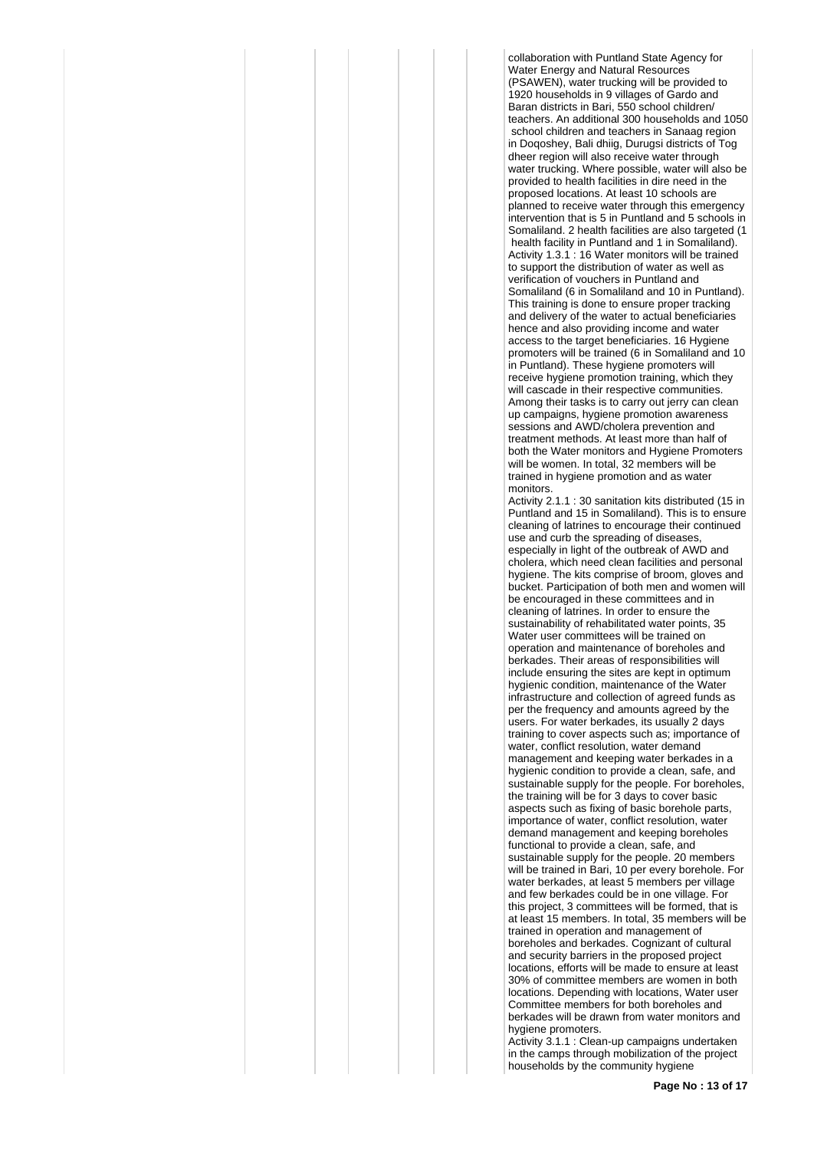collaboration with Puntland State Agency for Water Energy and Natural Resources (PSAWEN), water trucking will be provided to 1920 households in 9 villages of Gardo and Baran districts in Bari, 550 school children/ teachers. An additional 300 households and 1050 school children and teachers in Sanaag region in Doqoshey, Bali dhiig, Durugsi districts of Tog dheer region will also receive water through water trucking. Where possible, water will also be provided to health facilities in dire need in the proposed locations. At least 10 schools are planned to receive water through this emergency intervention that is 5 in Puntland and 5 schools in Somaliland. 2 health facilities are also targeted (1) health facility in Puntland and 1 in Somaliland). Activity 1.3.1 : 16 Water monitors will be trained to support the distribution of water as well as verification of vouchers in Puntland and Somaliland (6 in Somaliland and 10 in Puntland). This training is done to ensure proper tracking and delivery of the water to actual beneficiaries hence and also providing income and water access to the target beneficiaries. 16 Hygiene promoters will be trained (6 in Somaliland and 10 in Puntland). These hygiene promoters will receive hygiene promotion training, which they will cascade in their respective communities. Among their tasks is to carry out jerry can clean up campaigns, hygiene promotion awareness sessions and AWD/cholera prevention and treatment methods. At least more than half of both the Water monitors and Hygiene Promoters will be women. In total, 32 members will be trained in hygiene promotion and as water monitors.

Activity 2.1.1 : 30 sanitation kits distributed (15 in Puntland and 15 in Somaliland). This is to ensure cleaning of latrines to encourage their continued use and curb the spreading of diseases especially in light of the outbreak of AWD and cholera, which need clean facilities and personal hygiene. The kits comprise of broom, gloves and bucket. Participation of both men and women will be encouraged in these committees and in cleaning of latrines. In order to ensure the sustainability of rehabilitated water points, 35 Water user committees will be trained on operation and maintenance of boreholes and berkades. Their areas of responsibilities will include ensuring the sites are kept in optimum hygienic condition, maintenance of the Water infrastructure and collection of agreed funds as per the frequency and amounts agreed by the users. For water berkades, its usually 2 days training to cover aspects such as; importance of water, conflict resolution, water demand management and keeping water berkades in a hygienic condition to provide a clean, safe, and sustainable supply for the people. For boreholes, the training will be for 3 days to cover basic aspects such as fixing of basic borehole parts, importance of water, conflict resolution, water demand management and keeping boreholes functional to provide a clean, safe, and sustainable supply for the people. 20 members will be trained in Bari, 10 per every borehole. For water berkades, at least 5 members per village and few berkades could be in one village. For this project, 3 committees will be formed, that is at least 15 members. In total, 35 members will be trained in operation and management of boreholes and berkades. Cognizant of cultural and security barriers in the proposed project locations, efforts will be made to ensure at least 30% of committee members are women in both locations. Depending with locations, Water user Committee members for both boreholes and berkades will be drawn from water monitors and hygiene promoters.

Activity 3.1.1 : Clean-up campaigns undertaken in the camps through mobilization of the project households by the community hygiene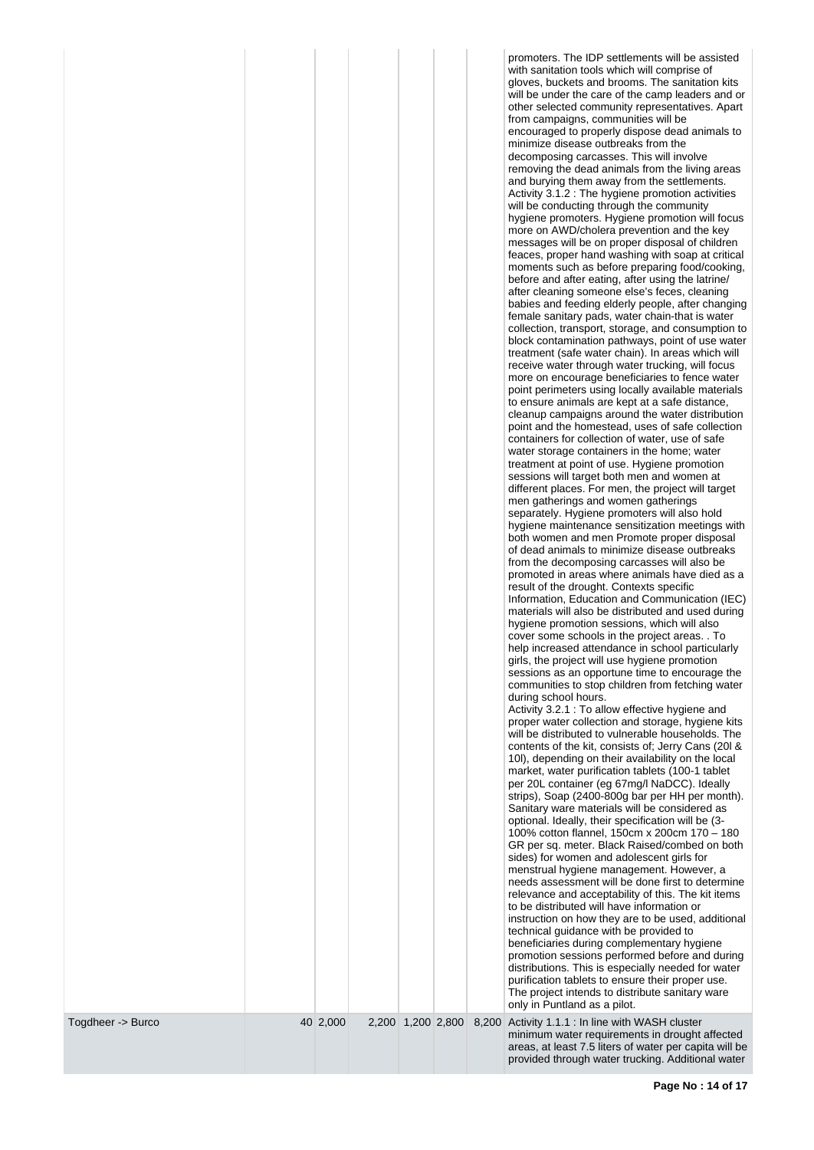| Togdheer -> Burco |          |  |  | with sanitation tools which will comprise of<br>gloves, buckets and brooms. The sanitation kits<br>will be under the care of the camp leaders and or<br>other selected community representatives. Apart<br>from campaigns, communities will be<br>encouraged to properly dispose dead animals to<br>minimize disease outbreaks from the<br>decomposing carcasses. This will involve<br>removing the dead animals from the living areas<br>and burying them away from the settlements.<br>Activity 3.1.2 : The hygiene promotion activities<br>will be conducting through the community<br>hygiene promoters. Hygiene promotion will focus<br>more on AWD/cholera prevention and the key<br>messages will be on proper disposal of children<br>feaces, proper hand washing with soap at critical<br>moments such as before preparing food/cooking,<br>before and after eating, after using the latrine/<br>after cleaning someone else's feces, cleaning<br>babies and feeding elderly people, after changing<br>female sanitary pads, water chain-that is water<br>collection, transport, storage, and consumption to<br>block contamination pathways, point of use water<br>treatment (safe water chain). In areas which will<br>receive water through water trucking, will focus<br>more on encourage beneficiaries to fence water<br>point perimeters using locally available materials<br>to ensure animals are kept at a safe distance,<br>cleanup campaigns around the water distribution<br>point and the homestead, uses of safe collection<br>containers for collection of water, use of safe<br>water storage containers in the home; water<br>treatment at point of use. Hygiene promotion<br>sessions will target both men and women at<br>different places. For men, the project will target<br>men gatherings and women gatherings<br>separately. Hygiene promoters will also hold<br>hygiene maintenance sensitization meetings with<br>both women and men Promote proper disposal<br>of dead animals to minimize disease outbreaks<br>from the decomposing carcasses will also be<br>promoted in areas where animals have died as a<br>result of the drought. Contexts specific<br>Information, Education and Communication (IEC)<br>materials will also be distributed and used during<br>hygiene promotion sessions, which will also<br>cover some schools in the project areas. . To<br>help increased attendance in school particularly<br>girls, the project will use hygiene promotion<br>sessions as an opportune time to encourage the<br>communities to stop children from fetching water<br>during school hours.<br>Activity 3.2.1 : To allow effective hygiene and<br>proper water collection and storage, hygiene kits<br>will be distributed to vulnerable households. The<br>contents of the kit, consists of; Jerry Cans (201 &<br>10I), depending on their availability on the local<br>market, water purification tablets (100-1 tablet<br>per 20L container (eg 67mg/l NaDCC). Ideally<br>strips), Soap (2400-800g bar per HH per month).<br>Sanitary ware materials will be considered as<br>optional. Ideally, their specification will be (3-<br>100% cotton flannel, 150cm x 200cm 170 - 180<br>GR per sq. meter. Black Raised/combed on both<br>sides) for women and adolescent girls for<br>menstrual hygiene management. However, a<br>needs assessment will be done first to determine<br>relevance and acceptability of this. The kit items<br>to be distributed will have information or<br>instruction on how they are to be used, additional<br>technical guidance with be provided to<br>beneficiaries during complementary hygiene<br>promotion sessions performed before and during<br>distributions. This is especially needed for water<br>purification tablets to ensure their proper use.<br>The project intends to distribute sanitary ware<br>only in Puntland as a pilot.<br>2,200 1,200 2,800 8,200 Activity 1.1.1 : In line with WASH cluster |
|-------------------|----------|--|--|---------------------------------------------------------------------------------------------------------------------------------------------------------------------------------------------------------------------------------------------------------------------------------------------------------------------------------------------------------------------------------------------------------------------------------------------------------------------------------------------------------------------------------------------------------------------------------------------------------------------------------------------------------------------------------------------------------------------------------------------------------------------------------------------------------------------------------------------------------------------------------------------------------------------------------------------------------------------------------------------------------------------------------------------------------------------------------------------------------------------------------------------------------------------------------------------------------------------------------------------------------------------------------------------------------------------------------------------------------------------------------------------------------------------------------------------------------------------------------------------------------------------------------------------------------------------------------------------------------------------------------------------------------------------------------------------------------------------------------------------------------------------------------------------------------------------------------------------------------------------------------------------------------------------------------------------------------------------------------------------------------------------------------------------------------------------------------------------------------------------------------------------------------------------------------------------------------------------------------------------------------------------------------------------------------------------------------------------------------------------------------------------------------------------------------------------------------------------------------------------------------------------------------------------------------------------------------------------------------------------------------------------------------------------------------------------------------------------------------------------------------------------------------------------------------------------------------------------------------------------------------------------------------------------------------------------------------------------------------------------------------------------------------------------------------------------------------------------------------------------------------------------------------------------------------------------------------------------------------------------------------------------------------------------------------------------------------------------------------------------------------------------------------------------------------------------------------------------------------------------------------------------------------------------------------------------------------------------------------------------------------------------------------------------------------------------------------------------------------------------------------------------------------------------------------------------------------------------------------------------------------------------------------------------------------------------------------------------------------------------------------|
|                   | 40 2,000 |  |  | minimum water requirements in drought affected                                                                                                                                                                                                                                                                                                                                                                                                                                                                                                                                                                                                                                                                                                                                                                                                                                                                                                                                                                                                                                                                                                                                                                                                                                                                                                                                                                                                                                                                                                                                                                                                                                                                                                                                                                                                                                                                                                                                                                                                                                                                                                                                                                                                                                                                                                                                                                                                                                                                                                                                                                                                                                                                                                                                                                                                                                                                                                                                                                                                                                                                                                                                                                                                                                                                                                                                                                                                                                                                                                                                                                                                                                                                                                                                                                                                                                                                                                                                                          |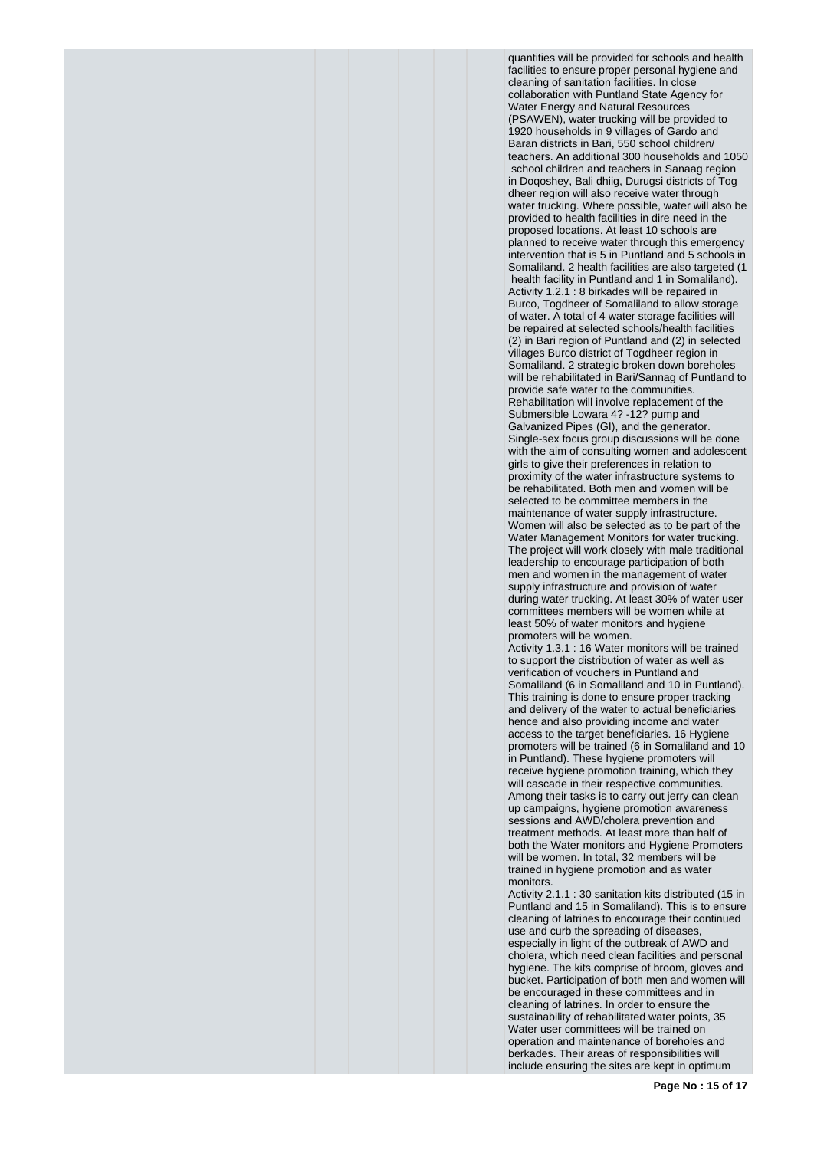quantities will be provided for schools and health facilities to ensure proper personal hygiene and cleaning of sanitation facilities. In close collaboration with Puntland State Agency for Water Energy and Natural Resources (PSAWEN), water trucking will be provided to 1920 households in 9 villages of Gardo and Baran districts in Bari, 550 school children/ teachers. An additional 300 households and 1050 school children and teachers in Sanaag region in Doqoshey, Bali dhiig, Durugsi districts of Tog dheer region will also receive water through water trucking. Where possible, water will also be provided to health facilities in dire need in the proposed locations. At least 10 schools are planned to receive water through this emergency intervention that is 5 in Puntland and 5 schools in Somaliland. 2 health facilities are also targeted (1 health facility in Puntland and 1 in Somaliland). Activity 1.2.1 : 8 birkades will be repaired in Burco, Togdheer of Somaliland to allow storage of water. A total of 4 water storage facilities will be repaired at selected schools/health facilities (2) in Bari region of Puntland and (2) in selected villages Burco district of Togdheer region in Somaliland. 2 strategic broken down boreholes will be rehabilitated in Bari/Sannag of Puntland to provide safe water to the communities. Rehabilitation will involve replacement of the Submersible Lowara 4? -12? pump and Galvanized Pipes (GI), and the generator. Single-sex focus group discussions will be done with the aim of consulting women and adolescent girls to give their preferences in relation to proximity of the water infrastructure systems to be rehabilitated. Both men and women will be selected to be committee members in the maintenance of water supply infrastructure. Women will also be selected as to be part of the Water Management Monitors for water trucking. The project will work closely with male traditional leadership to encourage participation of both men and women in the management of water supply infrastructure and provision of water during water trucking. At least 30% of water user committees members will be women while at least 50% of water monitors and hygiene promoters will be women. Activity 1.3.1 : 16 Water monitors will be trained to support the distribution of water as well as verification of vouchers in Puntland and Somaliland (6 in Somaliland and 10 in Puntland). This training is done to ensure proper tracking and delivery of the water to actual beneficiaries hence and also providing income and water access to the target beneficiaries. 16 Hygiene promoters will be trained (6 in Somaliland and 10 in Puntland). These hygiene promoters will

receive hygiene promotion training, which they will cascade in their respective communities. Among their tasks is to carry out jerry can clean up campaigns, hygiene promotion awareness sessions and AWD/cholera prevention and treatment methods. At least more than half of both the Water monitors and Hygiene Promoters will be women. In total, 32 members will be trained in hygiene promotion and as water monitors.

Activity 2.1.1 : 30 sanitation kits distributed (15 in Puntland and 15 in Somaliland). This is to ensure cleaning of latrines to encourage their continued use and curb the spreading of diseases, especially in light of the outbreak of AWD and cholera, which need clean facilities and personal hygiene. The kits comprise of broom, gloves and bucket. Participation of both men and women will be encouraged in these committees and in cleaning of latrines. In order to ensure the sustainability of rehabilitated water points, 35 Water user committees will be trained on operation and maintenance of boreholes and berkades. Their areas of responsibilities will include ensuring the sites are kept in optimum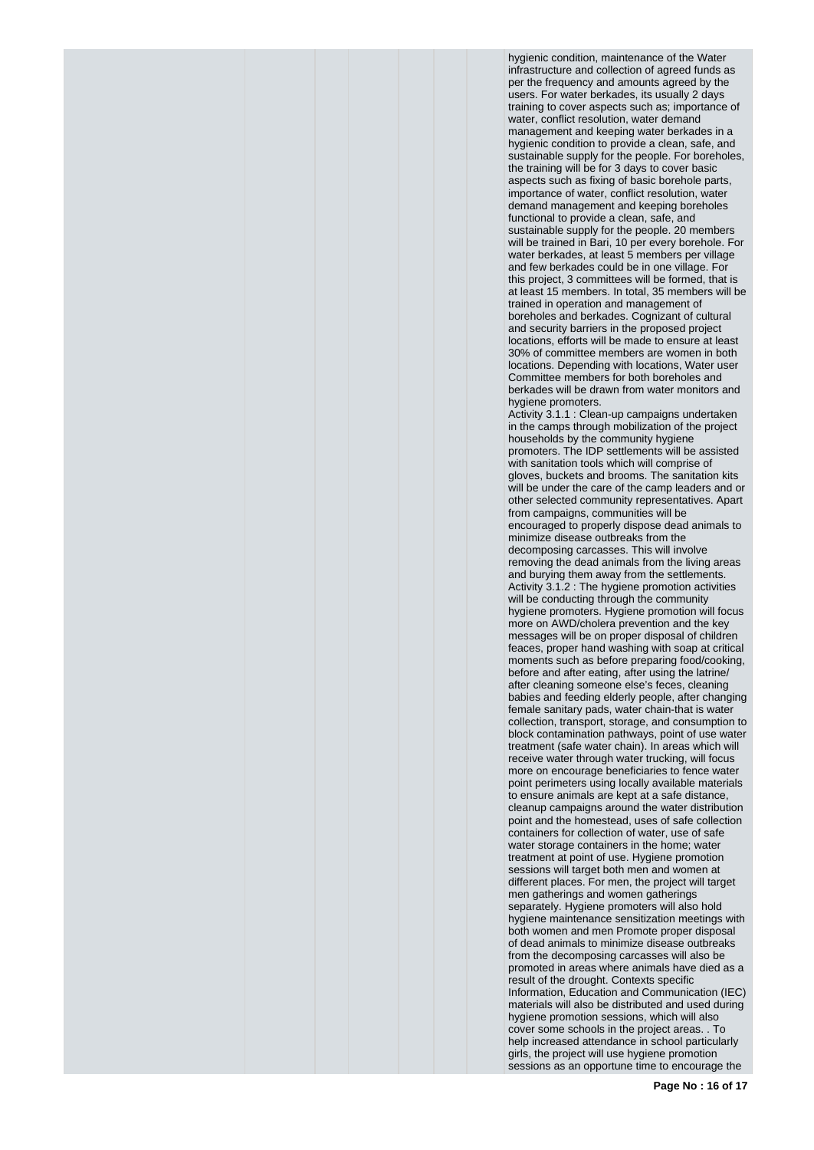hygienic condition, maintenance of the Water infrastructure and collection of agreed funds as per the frequency and amounts agreed by the users. For water berkades, its usually 2 days training to cover aspects such as; importance of water, conflict resolution, water demand management and keeping water berkades in a hygienic condition to provide a clean, safe, and sustainable supply for the people. For boreholes, the training will be for 3 days to cover basic aspects such as fixing of basic borehole parts, importance of water, conflict resolution, water demand management and keeping boreholes functional to provide a clean, safe, and sustainable supply for the people. 20 members will be trained in Bari, 10 per every borehole. For water berkades, at least 5 members per village and few berkades could be in one village. For this project, 3 committees will be formed, that is at least 15 members. In total, 35 members will be trained in operation and management of boreholes and berkades. Cognizant of cultural and security barriers in the proposed project locations, efforts will be made to ensure at least 30% of committee members are women in both locations. Depending with locations, Water user Committee members for both boreholes and berkades will be drawn from water monitors and hygiene promoters.

Activity 3.1.1 : Clean-up campaigns undertaken in the camps through mobilization of the project households by the community hygiene promoters. The IDP settlements will be assisted with sanitation tools which will comprise of gloves, buckets and brooms. The sanitation kits will be under the care of the camp leaders and or other selected community representatives. Apart from campaigns, communities will be encouraged to properly dispose dead animals to minimize disease outbreaks from the decomposing carcasses. This will involve removing the dead animals from the living areas and burying them away from the settlements. Activity 3.1.2 : The hygiene promotion activities will be conducting through the community hygiene promoters. Hygiene promotion will focus more on AWD/cholera prevention and the key messages will be on proper disposal of children feaces, proper hand washing with soap at critical moments such as before preparing food/cooking, before and after eating, after using the latrine/ after cleaning someone else's feces, cleaning babies and feeding elderly people, after changing female sanitary pads, water chain-that is water collection, transport, storage, and consumption to block contamination pathways, point of use water treatment (safe water chain). In areas which will receive water through water trucking, will focus more on encourage beneficiaries to fence water point perimeters using locally available materials to ensure animals are kept at a safe distance, cleanup campaigns around the water distribution point and the homestead, uses of safe collection containers for collection of water, use of safe water storage containers in the home; water treatment at point of use. Hygiene promotion sessions will target both men and women at different places. For men, the project will target men gatherings and women gatherings separately. Hygiene promoters will also hold hygiene maintenance sensitization meetings with both women and men Promote proper disposal of dead animals to minimize disease outbreaks from the decomposing carcasses will also be promoted in areas where animals have died as a result of the drought. Contexts specific Information, Education and Communication (IEC) materials will also be distributed and used during hygiene promotion sessions, which will also cover some schools in the project areas. . To help increased attendance in school particularly girls, the project will use hygiene promotion sessions as an opportune time to encourage the